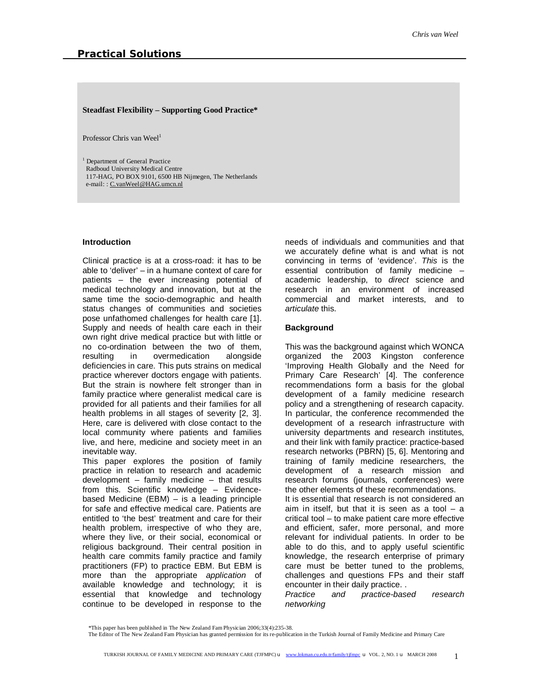## **Steadfast Flexibility – Supporting Good Practice\***

Professor Chris van Weel<sup>1</sup>

<sup>1</sup> Department of General Practice Radboud University Medical Centre 117-HAG, PO BOX 9101, 6500 HB Nijmegen, The Netherlands e-mail: : [C.vanWeel@HAG.umcn.nl](mailto:C.vanWeel@HAG.umcn.nl)

## **Introduction**

Clinical practice is at a cross-road: it has to be able to 'deliver' – in a humane context of care for patients – the ever increasing potential of medical technology and innovation, but at the same time the socio-demographic and health status changes of communities and societies pose unfathomed challenges for health care [1]. Supply and needs of health care each in their own right drive medical practice but with little or no co-ordination between the two of them, resulting in overmedication alongside deficiencies in care. This puts strains on medical practice wherever doctors engage with patients. But the strain is nowhere felt stronger than in family practice where generalist medical care is provided for all patients and their families for all health problems in all stages of severity [2, 3]. Here, care is delivered with close contact to the local community where patients and families live, and here, medicine and society meet in an inevitable way.

This paper explores the position of family practice in relation to research and academic development – family medicine – that results from this. Scientific knowledge – Evidencebased Medicine (EBM) – is a leading principle for safe and effective medical care. Patients are entitled to 'the best' treatment and care for their health problem, irrespective of who they are, where they live, or their social, economical or religious background. Their central position in health care commits family practice and family practitioners (FP) to practice EBM. But EBM is more than the appropriate *application* of available knowledge and technology; it is essential that knowledge and technology continue to be developed in response to the

needs of individuals and communities and that we accurately define what is and what is not convincing in terms of 'evidence'. *This* is the essential contribution of family medicine – academic leadership, to *direct* science and research in an environment of increased commercial and market interests, and to *articulate* this.

#### **Background**

This was the background against which WONCA organized the 2003 Kingston conference 'Improving Health Globally and the Need for Primary Care Research' [4]. The conference recommendations form a basis for the global development of a family medicine research policy and a strengthening of research capacity. In particular, the conference recommended the development of a research infrastructure with university departments and research institutes, and their link with family practice: practice-based research networks (PBRN) [5, 6]. Mentoring and training of family medicine researchers, the development of a research mission and research forums (journals, conferences) were the other elements of these recommendations. It is essential that research is not considered an aim in itself, but that it is seen as a tool  $-$  a critical tool – to make patient care more effective and efficient, safer, more personal, and more relevant for individual patients. In order to be able to do this, and to apply useful scientific knowledge, the research enterprise of primary care must be better tuned to the problems, challenges and questions FPs and their staff encounter in their daily practice. .

*Practice and practice-based research networking* 

<sup>\*</sup>This paper has been published in The New Zealand Fam Physician 2006;33(4):235-38.

The Editor of The New Zealand Fam Physician has granted permission for its re-publication in the Turkish Journal of Family Medicine and Primary Care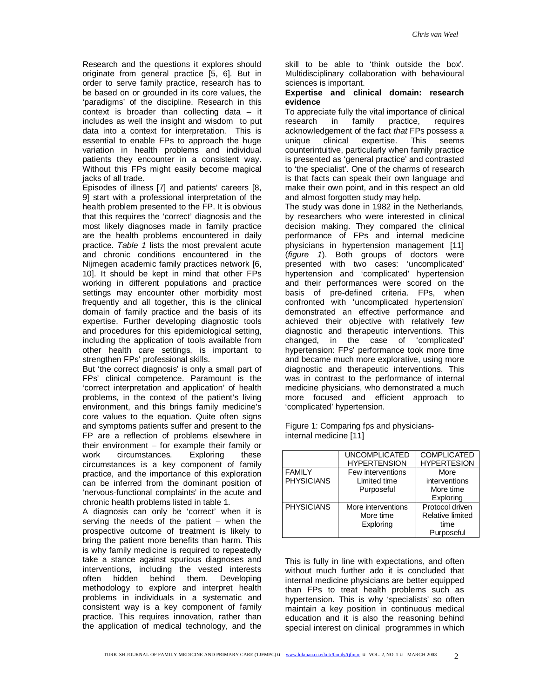Research and the questions it explores should originate from general practice [5, 6]. But in order to serve family practice, research has to be based on or grounded in its core values, the 'paradigms' of the discipline. Research in this context is broader than collecting data – it includes as well the insight and wisdom to put data into a context for interpretation. This is essential to enable FPs to approach the huge variation in health problems and individual patients they encounter in a consistent way. Without this FPs might easily become magical jacks of all trade.

Episodes of illness [7] and patients' careers [8, 9] start with a professional interpretation of the health problem presented to the FP. It is obvious that this requires the 'correct' diagnosis and the most likely diagnoses made in family practice are the health problems encountered in daily practice. *Table 1* lists the most prevalent acute and chronic conditions encountered in the Nijmegen academic family practices network [6, 10]. It should be kept in mind that other FPs working in different populations and practice settings may encounter other morbidity most frequently and all together, this is the clinical domain of family practice and the basis of its expertise. Further developing diagnostic tools and procedures for this epidemiological setting, including the application of tools available from other health care settings, is important to strengthen FPs' professional skills.

But 'the correct diagnosis' is only a small part of FPs' clinical competence. Paramount is the 'correct interpretation and application' of health problems, in the context of the patient's living environment, and this brings family medicine's core values to the equation. Quite often signs and symptoms patients suffer and present to the FP are a reflection of problems elsewhere in their environment – for example their family or work circumstances. Exploring these circumstances is a key component of family practice, and the importance of this exploration can be inferred from the dominant position of 'nervous-functional complaints' in the acute and chronic health problems listed in table 1.

A diagnosis can only be 'correct' when it is serving the needs of the patient – when the prospective outcome of treatment is likely to bring the patient more benefits than harm. This is why family medicine is required to repeatedly take a stance against spurious diagnoses and interventions, including the vested interests often hidden behind them. Developing methodology to explore and interpret health problems in individuals in a systematic and consistent way is a key component of family practice. This requires innovation, rather than the application of medical technology, and the

skill to be able to 'think outside the box'. Multidisciplinary collaboration with behavioural sciences is important.

## **Expertise and clinical domain: research evidence**

To appreciate fully the vital importance of clinical research in family practice, requires acknowledgement of the fact *that* FPs possess a unique clinical expertise. This seems counterintuitive, particularly when family practice is presented as 'general practice' and contrasted to 'the specialist'. One of the charms of research is that facts can speak their own language and make their own point, and in this respect an old and almost forgotten study may help.

The study was done in 1982 in the Netherlands, by researchers who were interested in clinical decision making. They compared the clinical performance of FPs and internal medicine physicians in hypertension management [11] (*figure 1*). Both groups of doctors were presented with two cases: 'uncomplicated' hypertension and 'complicated' hypertension and their performances were scored on the basis of pre-defined criteria. FPs, when confronted with 'uncomplicated hypertension' demonstrated an effective performance and achieved their objective with relatively few diagnostic and therapeutic interventions. This changed, in the case of 'complicated' hypertension: FPs' performance took more time and became much more explorative, using more diagnostic and therapeutic interventions. This was in contrast to the performance of internal medicine physicians, who demonstrated a much more focused and efficient approach to 'complicated' hypertension.

Figure 1: Comparing fps and physiciansinternal medicine [11]

|                   | <b>UNCOMPLICATED</b> | <b>COMPLICATED</b>      |
|-------------------|----------------------|-------------------------|
|                   | <b>HYPERTENSION</b>  | <b>HYPERTESION</b>      |
| <b>FAMILY</b>     | Few interventions    | More                    |
| <b>PHYSICIANS</b> | Limited time         | interventions           |
|                   | Purposeful           | More time               |
|                   |                      | Exploring               |
| <b>PHYSICIANS</b> | More interventions   | Protocol driven         |
|                   | More time            | <b>Relative limited</b> |
|                   | Exploring            | time                    |
|                   |                      | Purposeful              |

This is fully in line with expectations, and often without much further ado it is concluded that internal medicine physicians are better equipped than FPs to treat health problems such as hypertension. This is why 'specialists' so often maintain a key position in continuous medical education and it is also the reasoning behind special interest on clinical programmes in which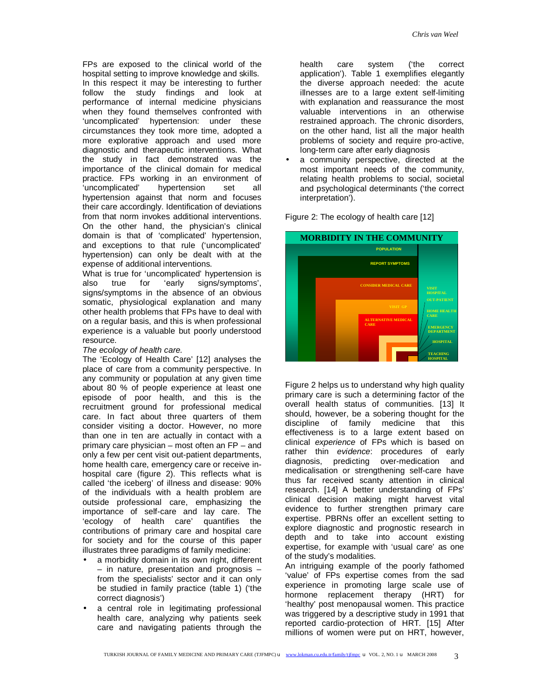FPs are exposed to the clinical world of the hospital setting to improve knowledge and skills. In this respect it may be interesting to further follow the study findings and look at performance of internal medicine physicians when they found themselves confronted with 'uncomplicated' hypertension: under these circumstances they took more time, adopted a more explorative approach and used more diagnostic and therapeutic interventions. What the study in fact demonstrated was the importance of the clinical domain for medical practice. FPs working in an environment of 'uncomplicated' hypertension set all hypertension against that norm and focuses their care accordingly. Identification of deviations from that norm invokes additional interventions. On the other hand, the physician's clinical domain is that of 'complicated' hypertension, and exceptions to that rule ('uncomplicated' hypertension) can only be dealt with at the expense of additional interventions.

What is true for 'uncomplicated' hypertension is also true for 'early signs/symptoms', signs/symptoms in the absence of an obvious somatic, physiological explanation and many other health problems that FPs have to deal with on a regular basis, and this is when professional experience is a valuable but poorly understood resource.

## *The ecology of health care.*

The 'Ecology of Health Care' [12] analyses the place of care from a community perspective. In any community or population at any given time about 80 % of people experience at least one episode of poor health, and this is the recruitment ground for professional medical care. In fact about three quarters of them consider visiting a doctor. However, no more than one in ten are actually in contact with a primary care physician – most often an FP – and only a few per cent visit out-patient departments, home health care, emergency care or receive inhospital care (figure 2). This reflects what is called 'the iceberg' of illness and disease: 90% of the individuals with a health problem are outside professional care, emphasizing the importance of self-care and lay care. The 'ecology of health care' quantifies the contributions of primary care and hospital care for society and for the course of this paper illustrates three paradigms of family medicine:

- a morbidity domain in its own right, different – in nature, presentation and prognosis – from the specialists' sector and it can only be studied in family practice (table 1) ('the correct diagnosis')
- a central role in legitimating professional health care, analyzing why patients seek care and navigating patients through the

health care system ('the correct application'). Table 1 exemplifies elegantly the diverse approach needed: the acute illnesses are to a large extent self-limiting with explanation and reassurance the most valuable interventions in an otherwise restrained approach. The chronic disorders, on the other hand, list all the major health problems of society and require pro-active, long-term care after early diagnosis

a community perspective, directed at the most important needs of the community, relating health problems to social, societal and psychological determinants ('the correct interpretation').



Figure 2: The ecology of health care [12]

Figure 2 helps us to understand why high quality primary care is such a determining factor of the overall health status of communities. [13] It should, however, be a sobering thought for the discipline of family medicine that this effectiveness is to a large extent based on clinical *experience* of FPs which is based on rather thin *evidence*: procedures of early diagnosis, predicting over-medication and medicalisation or strengthening self-care have thus far received scanty attention in clinical research. [14] A better understanding of FPs' clinical decision making might harvest vital evidence to further strengthen primary care expertise. PBRNs offer an excellent setting to explore diagnostic and prognostic research in depth and to take into account existing expertise, for example with 'usual care' as one of the study's modalities.

An intriguing example of the poorly fathomed 'value' of FPs expertise comes from the sad experience in promoting large scale use of hormone replacement therapy (HRT) for 'healthy' post menopausal women. This practice was triggered by a descriptive study in 1991 that reported cardio-protection of HRT. [15] After millions of women were put on HRT, however,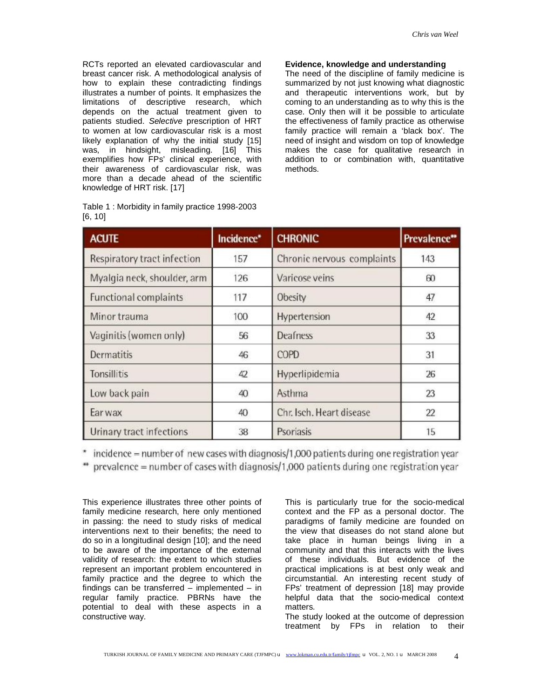RCTs reported an elevated cardiovascular and breast cancer risk. A methodological analysis of how to explain these contradicting findings illustrates a number of points. It emphasizes the limitations of descriptive research, which depends on the actual treatment given to patients studied. *Selective* prescription of HRT to women at low cardiovascular risk is a most likely explanation of why the initial study [15] was, in hindsight, misleading. [16] This exemplifies how FPs' clinical experience, with their awareness of cardiovascular risk, was more than a decade ahead of the scientific knowledge of HRT risk. [17]

| Table 1: Morbidity in family practice 1998-2003 |  |
|-------------------------------------------------|--|
| [6, 10]                                         |  |

# **Evidence, knowledge and understanding**

The need of the discipline of family medicine is summarized by not just knowing what diagnostic and therapeutic interventions work, but by coming to an understanding as to why this is the case. Only then will it be possible to articulate the effectiveness of family practice as otherwise family practice will remain a 'black box'. The need of insight and wisdom on top of knowledge makes the case for qualitative research in addition to or combination with, quantitative methods.

| <b>ACUTE</b>                 | Incidence* | <b>CHRONIC</b>             | Prevalence** |
|------------------------------|------------|----------------------------|--------------|
| Respiratory tract infection  | 157        | Chronic nervous complaints | 143          |
| Myalgia neck, shoulder, arm  | 126        | Varicose veins             | 60           |
| <b>Functional complaints</b> | 117        | Obesity                    | 47           |
| Minor trauma                 | 100        | Hypertension               | 42           |
| Vaginitis (women only)       | 56         | Deafness                   | 33           |
| <b>Dermatitis</b>            | 46         | COPD                       | 31           |
| Tonsillitis                  | 42         | Hyperlipidemia             | 26           |
| Low back pain                | 40         | Asthma                     | 23           |
| Ear wax                      | 40         | Chr. Isch. Heart disease   | 22           |
| Urinary tract infections     | 38         | Psoriasis                  | 15           |

\* incidence = number of new cases with diagnosis/1,000 patients during one registration year

 $*$  prevalence = number of cases with diagnosis/1,000 patients during one registration year

This experience illustrates three other points of family medicine research, here only mentioned in passing: the need to study risks of medical interventions next to their benefits; the need to do so in a longitudinal design [10]; and the need to be aware of the importance of the external validity of research: the extent to which studies represent an important problem encountered in family practice and the degree to which the findings can be transferred – implemented – in regular family practice. PBRNs have the potential to deal with these aspects in a constructive way.

This is particularly true for the socio-medical context and the FP as a personal doctor. The paradigms of family medicine are founded on the view that diseases do not stand alone but take place in human beings living in a community and that this interacts with the lives of these individuals. But evidence of the practical implications is at best only weak and circumstantial. An interesting recent study of FPs' treatment of depression [18] may provide helpful data that the socio-medical context matters.

The study looked at the outcome of depression treatment by FPs in relation to their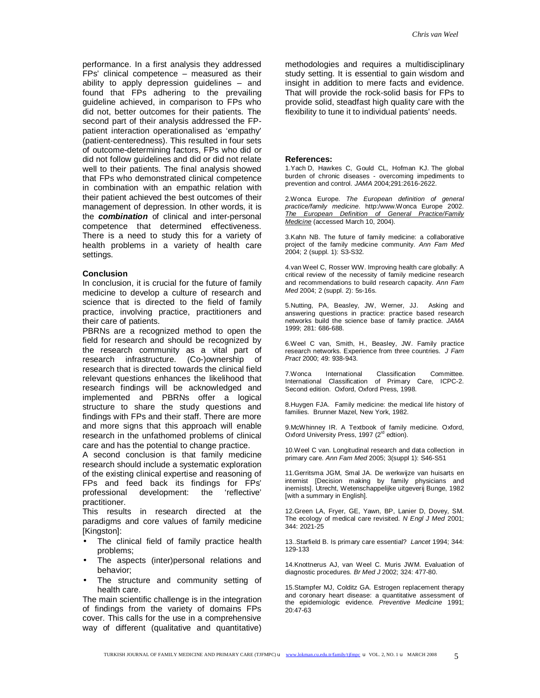performance. In a first analysis they addressed FPs' clinical competence – measured as their ability to apply depression guidelines – and found that FPs adhering to the prevailing guideline achieved, in comparison to FPs who did not, better outcomes for their patients. The second part of their analysis addressed the FPpatient interaction operationalised as 'empathy' (patient-centeredness). This resulted in four sets of outcome-determining factors, FPs who did or did not follow guidelines and did or did not relate well to their patients. The final analysis showed that FPs who demonstrated clinical competence in combination with an empathic relation with their patient achieved the best outcomes of their management of depression. In other words, it is the *combination* of clinical and inter-personal competence that determined effectiveness. There is a need to study this for a variety of health problems in a variety of health care settings.

#### **Conclusion**

In conclusion, it is crucial for the future of family medicine to develop a culture of research and science that is directed to the field of family practice, involving practice, practitioners and their care of patients.

PBRNs are a recognized method to open the field for research and should be recognized by the research community as a vital part of research infrastructure. (Co-)ownership of research that is directed towards the clinical field relevant questions enhances the likelihood that research findings will be acknowledged and implemented and PBRNs offer a logical structure to share the study questions and findings with FPs and their staff. There are more and more signs that this approach will enable research in the unfathomed problems of clinical care and has the potential to change practice.

A second conclusion is that family medicine research should include a systematic exploration of the existing clinical expertise and reasoning of FPs and feed back its findings for FPs' professional development: the 'reflective' practitioner.

This results in research directed at the paradigms and core values of family medicine [Kingston]:

- The clinical field of family practice health problems;
- The aspects (inter)personal relations and behavior;
- The structure and community setting of health care.

The main scientific challenge is in the integration of findings from the variety of domains FPs cover. This calls for the use in a comprehensive way of different (qualitative and quantitative)

methodologies and requires a multidisciplinary study setting. It is essential to gain wisdom and insight in addition to mere facts and evidence. That will provide the rock-solid basis for FPs to provide solid, steadfast high quality care with the flexibility to tune it to individual patients' needs.

#### **References:**

1.Yach D, Hawkes C, Gould CL, Hofman KJ. The global burden of chronic diseases - overcoming impediments to prevention and control. *JAMA* 2004;291:2616-2622.

2.Wonca Europe. *The European definition of general practice/family medicine*. http:/www.Wonca Europe 2002. *The European Definition of General Practice/Family Medicine* (accessed March 10, 2004).

3.Kahn NB. The future of family medicine: a collaborative project of the family medicine community. *Ann Fam Med* 2004; 2 (suppl. 1): S3-S32.

4.van Weel C, Rosser WW. Improving health care globally: A critical review of the necessity of family medicine research and recommendations to build research capacity. *Ann Fam Med* 2004; 2 (suppl. 2): 5s-16s.

5.Nutting, PA, Beasley, JW, Werner, JJ. Asking and answering questions in practice: practice based research networks build the science base of family practice. *JAMA* 1999; 281: 686-688.

6.Weel C van, Smith, H., Beasley, JW. Family practice research networks. Experience from three countries. *J Fam Pract* 2000; 49: 938-943.

7.Wonca International Classification Committee. International Classification of Primary Care, ICPC-2. Second edition. Oxford, Oxford Press, 1998.

8.Huygen FJA. Family medicine: the medical life history of families. Brunner Mazel, New York, 1982.

9.McWhinney IR. A Textbook of family medicine. Oxford, Oxford University Press, 1997 (2<sup>rd</sup> edtion).

10.Weel C van. Longitudinal research and data collection in primary care. *Ann Fam Med* 2005; 3(suppl 1): S46-S51

11.Gerritsma JGM, Smal JA. De werkwijze van huisarts en internist [Decision making by family physicians and inernists]. Utrecht, Wetenschappelijke uitgeverij Bunge, 1982 [with a summary in English].

12.Green LA, Fryer, GE, Yawn, BP, Lanier D, Dovey, SM. The ecology of medical care revisited. *N Engl J Med* 2001; 344: 2021-25

13..Starfield B. Is primary care essential? *Lancet* 1994; 344: 129-133

14.Knottnerus AJ, van Weel C. Muris JWM. Evaluation of diagnostic procedures. *Br Med J* 2002; 324: 477-80.

15.Stampfer MJ, Colditz GA. Estrogen replacement therapy and coronary heart disease: a quantitative assessment of the epidemiologic evidence. *Preventive Medicine* 1991; 20:47-63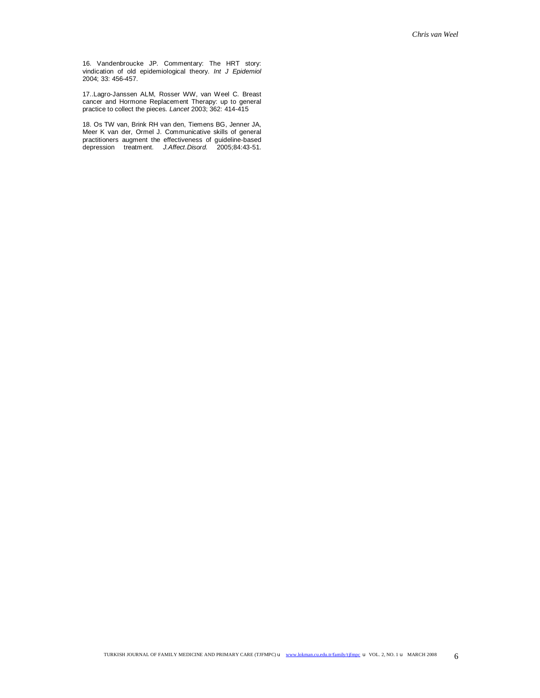16. Vandenbroucke JP. Commentary: The HRT story: vindication of old epidemiological theory. *Int J Epidemiol* 2004; 33: 456-457.

17..Lagro-Janssen ALM, Rosser WW, van Weel C. Breast cancer and Hormone Replacement Therapy: up to general practice to collect the pieces. *Lancet* 2003; 362: 414-415

18. Os TW van, Brink RH van den, Tiemens BG, Jenner JA, Meer K van der, Ormel J. Communicative skills of general practitioners augment the effectiveness of guideline-based depression treatment. *J.Affect.Disord.* 2005;84:43-51.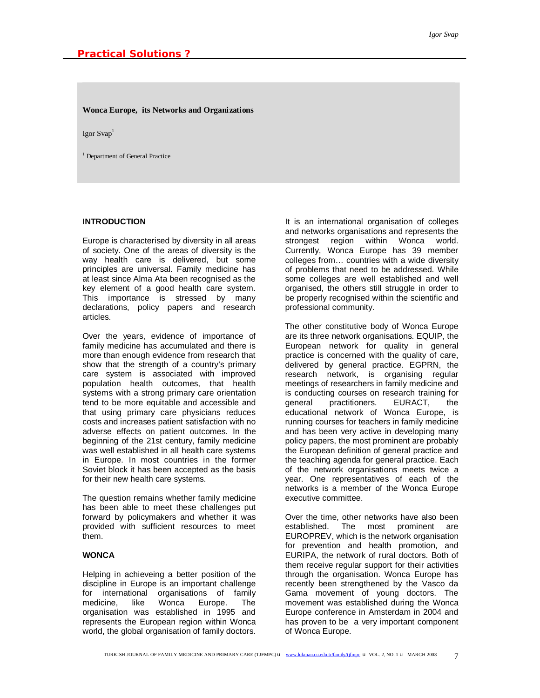**Wonca Europe, its Networks and Organizations** 

Igor Svap<sup>1</sup>

<sup>1</sup> Department of General Practice

# **INTRODUCTION**

Europe is characterised by diversity in all areas of society. One of the areas of diversity is the way health care is delivered, but some principles are universal. Family medicine has at least since Alma Ata been recognised as the key element of a good health care system. This importance is stressed by many declarations, policy papers and research articles.

Over the years, evidence of importance of family medicine has accumulated and there is more than enough evidence from research that show that the strength of a country's primary care system is associated with improved population health outcomes, that health systems with a strong primary care orientation tend to be more equitable and accessible and that using primary care physicians reduces costs and increases patient satisfaction with no adverse effects on patient outcomes. In the beginning of the 21st century, family medicine was well established in all health care systems in Europe. In most countries in the former Soviet block it has been accepted as the basis for their new health care systems.

The question remains whether family medicine has been able to meet these challenges put forward by policymakers and whether it was provided with sufficient resources to meet them.

# **WONCA**

Helping in achieveing a better position of the discipline in Europe is an important challenge for international organisations of family medicine, like Wonca Europe. The organisation was established in 1995 and represents the European region within Wonca world, the global organisation of family doctors.

It is an international organisation of colleges and networks organisations and represents the strongest region within Wonca world. Currently, Wonca Europe has 39 member colleges from… countries with a wide diversity of problems that need to be addressed. While some colleges are well established and well organised, the others still struggle in order to be properly recognised within the scientific and professional community.

The other constitutive body of Wonca Europe are its three network organisations. EQUIP, the European network for quality in general practice is concerned with the quality of care, delivered by general practice. EGPRN, the research network, is organising regular meetings of researchers in family medicine and is conducting courses on research training for general practitioners. EURACT, the educational network of Wonca Europe, is running courses for teachers in family medicine and has been very active in developing many policy papers, the most prominent are probably the European definition of general practice and the teaching agenda for general practice. Each of the network organisations meets twice a year. One representatives of each of the networks is a member of the Wonca Europe executive committee.

Over the time, other networks have also been established. The most prominent are EUROPREV, which is the network organisation for prevention and health promotion, and EURIPA, the network of rural doctors. Both of them receive regular support for their activities through the organisation. Wonca Europe has recently been strengthened by the Vasco da Gama movement of young doctors. The movement was established during the Wonca Europe conference in Amsterdam in 2004 and has proven to be a very important component of Wonca Europe.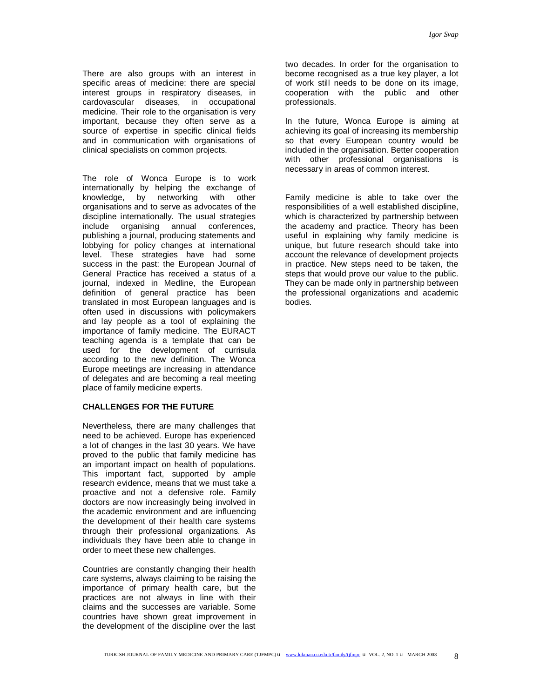There are also groups with an interest in specific areas of medicine: there are special interest groups in respiratory diseases, in cardovascular diseases, in occupational medicine. Their role to the organisation is very important, because they often serve as a source of expertise in specific clinical fields and in communication with organisations of clinical specialists on common projects.

The role of Wonca Europe is to work internationally by helping the exchange of knowledge, by networking with other organisations and to serve as advocates of the discipline internationally. The usual strategies include organising annual conferences, publishing a journal, producing statements and lobbying for policy changes at international level. These strategies have had some success in the past: the European Journal of General Practice has received a status of a journal, indexed in Medline, the European definition of general practice has been translated in most European languages and is often used in discussions with policymakers and lay people as a tool of explaining the importance of family medicine. The EURACT teaching agenda is a template that can be used for the development of currisula according to the new definition. The Wonca Europe meetings are increasing in attendance of delegates and are becoming a real meeting place of family medicine experts.

## **CHALLENGES FOR THE FUTURE**

Nevertheless, there are many challenges that need to be achieved. Europe has experienced a lot of changes in the last 30 years. We have proved to the public that family medicine has an important impact on health of populations. This important fact, supported by ample research evidence, means that we must take a proactive and not a defensive role. Family doctors are now increasingly being involved in the academic environment and are influencing the development of their health care systems through their professional organizations. As individuals they have been able to change in order to meet these new challenges.

Countries are constantly changing their health care systems, always claiming to be raising the importance of primary health care, but the practices are not always in line with their claims and the successes are variable. Some countries have shown great improvement in the development of the discipline over the last

two decades. In order for the organisation to become recognised as a true key player, a lot of work still needs to be done on its image, cooperation with the public and other professionals.

In the future, Wonca Europe is aiming at achieving its goal of increasing its membership so that every European country would be included in the organisation. Better cooperation with other professional organisations is necessary in areas of common interest.

Family medicine is able to take over the responsibilities of a well established discipline, which is characterized by partnership between the academy and practice. Theory has been useful in explaining why family medicine is unique, but future research should take into account the relevance of development projects in practice. New steps need to be taken, the steps that would prove our value to the public. They can be made only in partnership between the professional organizations and academic bodies.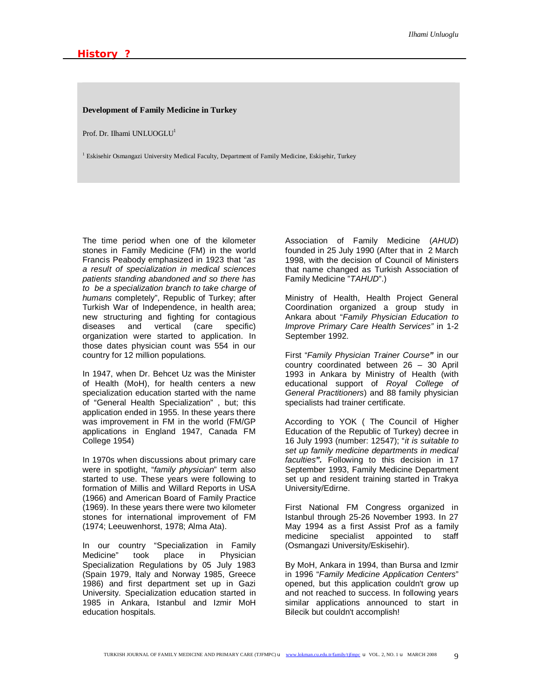## **Development of Family Medicine in Turkey**

Prof. Dr. Ilhami UNLUOGLU<sup>1</sup>

<sup>1</sup> Eskisehir Osmangazi University Medical Faculty, Department of Family Medicine, Eskişehir, Turkey

The time period when one of the kilometer stones in Family Medicine (FM) in the world Francis Peabody emphasized in 1923 that "*as a result of specialization in medical sciences patients standing abandoned and so there has to be a specialization branch to take charge of humans* completely", Republic of Turkey; after Turkish War of Independence, in health area; new structuring and fighting for contagious diseases and vertical (care specific) organization were started to application. In those dates physician count was 554 in our country for 12 million populations.

In 1947, when Dr. Behcet Uz was the Minister of Health (MoH), for health centers a new specialization education started with the name of "General Health Specialization" , but; this application ended in 1955. In these years there was improvement in FM in the world (FM/GP applications in England 1947, Canada FM College 1954)

In 1970s when discussions about primary care were in spotlight, "*family physician*" term also started to use. These years were following to formation of Millis and Willard Reports in USA (1966) and American Board of Family Practice (1969). In these years there were two kilometer stones for international improvement of FM (1974; Leeuwenhorst, 1978; Alma Ata).

In our country "Specialization in Family Medicine" took place in Physician Specialization Regulations by 05 July 1983 (Spain 1979, Italy and Norway 1985, Greece 1986) and first department set up in Gazi University. Specialization education started in 1985 in Ankara, Istanbul and Izmir MoH education hospitals.

Association of Family Medicine (*AHUD*) founded in 25 July 1990 (After that in 2 March 1998, with the decision of Council of Ministers that name changed as Turkish Association of Family Medicine "*TAHUD*".)

Ministry of Health, Health Project General Coordination organized a group study in Ankara about "*Family Physician Education to Improve Primary Care Health Services"* in 1-2 September 1992.

First "*Family Physician Trainer Course"* in our country coordinated between 26 – 30 April 1993 in Ankara by Ministry of Health (with educational support of *Royal College of General Practitioners*) and 88 family physician specialists had trainer certificate.

According to YOK ( The Council of Higher Education of the Republic of Turkey) decree in 16 July 1993 (number: 12547); "*it is suitable to set up family medicine departments in medical faculties".* Following to this decision in 17 September 1993, Family Medicine Department set up and resident training started in Trakya University/Edirne.

First National FM Congress organized in Istanbul through 25-26 November 1993. In 27 May 1994 as a first Assist Prof as a family medicine specialist appointed to staff (Osmangazi University/Eskisehir).

By MoH, Ankara in 1994, than Bursa and Izmir in 1996 "*Family Medicine Application Centers*" opened, but this application couldn't grow up and not reached to success. In following years similar applications announced to start in Bilecik but couldn't accomplish!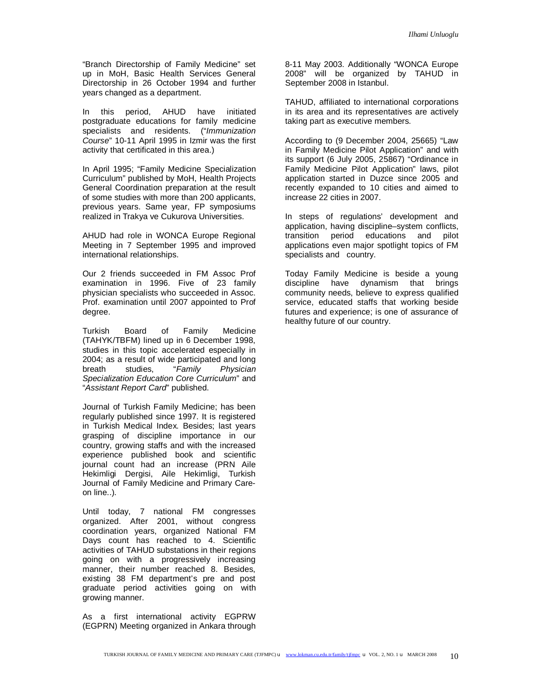"Branch Directorship of Family Medicine" set up in MoH, Basic Health Services General Directorship in 26 October 1994 and further years changed as a department.

In this period, AHUD have initiated postgraduate educations for family medicine specialists and residents. ("*Immunization Course*" 10-11 April 1995 in Izmir was the first activity that certificated in this area.)

In April 1995; "Family Medicine Specialization Curriculum" published by MoH, Health Projects General Coordination preparation at the result of some studies with more than 200 applicants, previous years. Same year, FP symposiums realized in Trakya ve Cukurova Universities.

AHUD had role in WONCA Europe Regional Meeting in 7 September 1995 and improved international relationships.

Our 2 friends succeeded in FM Assoc Prof examination in 1996. Five of 23 family physician specialists who succeeded in Assoc. Prof. examination until 2007 appointed to Prof degree.

Turkish Board of Family Medicine (TAHYK/TBFM) lined up in 6 December 1998, studies in this topic accelerated especially in 2004; as a result of wide participated and long breath studies, "*Family Physician Specialization Education Core Curriculum*" and "*Assistant Report Card*" published.

Journal of Turkish Family Medicine; has been regularly published since 1997. It is registered in Turkish Medical Index. Besides; last years grasping of discipline importance in our country, growing staffs and with the increased experience published book and scientific journal count had an increase (PRN Aile Hekimligi Dergisi, Aile Hekimligi, Turkish Journal of Family Medicine and Primary Careon line..).

Until today, 7 national FM congresses organized. After 2001, without congress coordination years, organized National FM Days count has reached to 4. Scientific activities of TAHUD substations in their regions going on with a progressively increasing manner, their number reached 8. Besides, existing 38 FM department's pre and post graduate period activities going on with growing manner.

As a first international activity EGPRW (EGPRN) Meeting organized in Ankara through

8-11 May 2003. Additionally "WONCA Europe 2008" will be organized by TAHUD in September 2008 in Istanbul.

TAHUD, affiliated to international corporations in its area and its representatives are actively taking part as executive members.

According to (9 December 2004, 25665) "Law in Family Medicine Pilot Application" and with its support (6 July 2005, 25867) "Ordinance in Family Medicine Pilot Application" laws, pilot application started in Duzce since 2005 and recently expanded to 10 cities and aimed to increase 22 cities in 2007.

In steps of regulations' development and application, having discipline–system conflicts, transition period educations and pilot applications even major spotlight topics of FM specialists and country.

Today Family Medicine is beside a young discipline have dynamism that brings community needs, believe to express qualified service, educated staffs that working beside futures and experience; is one of assurance of healthy future of our country.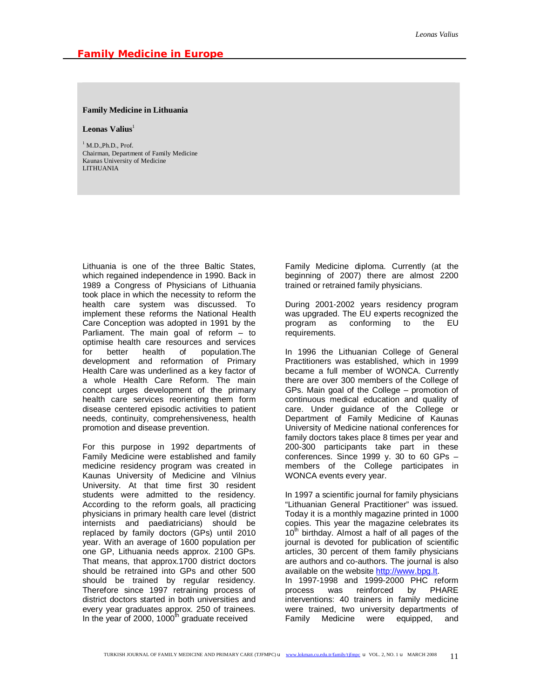#### **Family Medicine in Lithuania**

#### **Leonas Valius**<sup>1</sup>

 $<sup>1</sup>$  M.D., Ph.D., Prof.</sup> Chairman, Department of Family Medicine Kaunas University of Medicine LITHUANIA

Lithuania is one of the three Baltic States, which regained independence in 1990. Back in 1989 a Congress of Physicians of Lithuania took place in which the necessity to reform the health care system was discussed. To implement these reforms the National Health Care Conception was adopted in 1991 by the Parliament. The main goal of reform – to optimise health care resources and services for better health of population.The development and reformation of Primary Health Care was underlined as a key factor of a whole Health Care Reform. The main concept urges development of the primary health care services reorienting them form disease centered episodic activities to patient needs, continuity, comprehensiveness, health promotion and disease prevention.

For this purpose in 1992 departments of Family Medicine were established and family medicine residency program was created in Kaunas University of Medicine and Vilnius University. At that time first 30 resident students were admitted to the residency. According to the reform goals, all practicing physicians in primary health care level (district internists and paediatricians) should be replaced by family doctors (GPs) until 2010 year. With an average of 1600 population per one GP, Lithuania needs approx. 2100 GPs. That means, that approx.1700 district doctors should be retrained into GPs and other 500 should be trained by regular residency. Therefore since 1997 retraining process of district doctors started in both universities and every year graduates approx. 250 of trainees. In the year of 2000, 1000<sup>th</sup> graduate received

Family Medicine diploma. Currently (at the beginning of 2007) there are almost 2200 trained or retrained family physicians.

During 2001-2002 years residency program was upgraded. The EU experts recognized the program as conforming to the EU requirements.

In 1996 the Lithuanian College of General Practitioners was established, which in 1999 became a full member of WONCA. Currently there are over 300 members of the College of GPs. Main goal of the College – promotion of continuous medical education and quality of care. Under guidance of the College or Department of Family Medicine of Kaunas University of Medicine national conferences for family doctors takes place 8 times per year and 200-300 participants take part in these conferences. Since 1999 y. 30 to 60 GPs – members of the College participates in WONCA events every year.

In 1997 a scientific journal for family physicians "Lithuanian General Practitioner" was issued. Today it is a monthly magazine printed in 1000 copies. This year the magazine celebrates its  $10<sup>th</sup>$  birthday. Almost a half of all pages of the journal is devoted for publication of scientific articles, 30 percent of them family physicians are authors and co-authors. The journal is also available on the website<http://www.bpg.lt>.

In 1997-1998 and 1999-2000 PHC reform process was reinforced by PHARE interventions: 40 trainers in family medicine were trained, two university departments of Family Medicine were equipped, and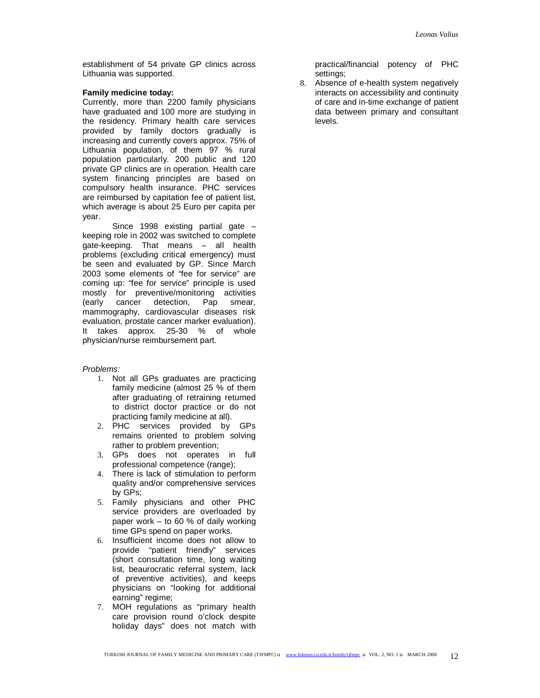establishment of 54 private GP clinics across Lithuania was supported.

#### **Family medicine today:**

Currently, more than 2200 family physicians have graduated and 100 more are studying in the residency. Primary health care services provided by family doctors gradually is increasing and currently covers approx. 75% of Lithuania population, of them 97 % rural population particularly. 200 public and 120 private GP clinics are in operation. Health care system financing principles are based on compulsory health insurance. PHC services are reimbursed by capitation fee of patient list, which average is about 25 Euro per capita per year.

Since 1998 existing partial gate – keeping role in 2002 was switched to complete gate-keeping. That means – all health problems (excluding critical emergency) must be seen and evaluated by GP. Since March 2003 some elements of "fee for service" are coming up: "fee for service" principle is used mostly for preventive/monitoring activities (early cancer detection, Pap smear, mammography, cardiovascular diseases risk evaluation, prostate cancer marker evaluation). It takes approx. 25-30 % of whole physician/nurse reimbursement part.

## *Problems:*

- 1. Not all GPs graduates are practicing family medicine (almost 25 % of them after graduating of retraining returned to district doctor practice or do not practicing family medicine at all).
- 2. PHC services provided by GPs remains oriented to problem solving rather to problem prevention;
- 3. GPs does not operates in full professional competence (range);
- 4. There is lack of stimulation to perform quality and/or comprehensive services by GPs;
- 5. Family physicians and other PHC service providers are overloaded by paper work – to 60 % of daily working time GPs spend on paper works.
- 6. Insufficient income does not allow to provide "patient friendly" services (short consultation time, long waiting list, beaurocratic referral system, lack of preventive activities), and keeps physicians on "looking for additional earning" regime;
- 7. MOH regulations as "primary health care provision round o'clock despite holiday days" does not match with

practical/financial potency of PHC settings;

8. Absence of e-health system negatively interacts on accessibility and continuity of care and in-time exchange of patient data between primary and consultant levels.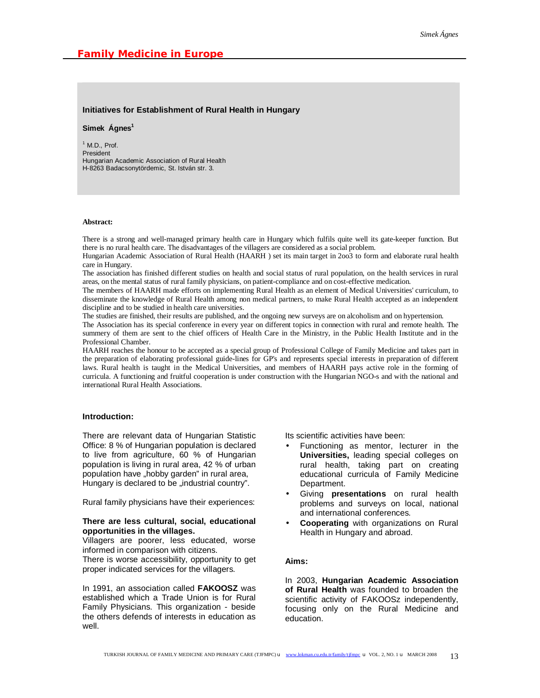#### **Initiatives for Establishment of Rural Health in Hungary**

#### **Simek Ágnes<sup>1</sup>**

 $<sup>1</sup>$  M.D., Prof.</sup> President Hungarian Academic Association of Rural Health H-8263 Badacsonytördemic, St. István str. 3.

#### **Abstract:**

There is a strong and well-managed primary health care in Hungary which fulfils quite well its gate-keeper function. But there is no rural health care. The disadvantages of the villagers are considered as a social problem.

Hungarian Academic Association of Rural Health (HAARH ) set its main target in 2oo3 to form and elaborate rural health care in Hungary.

The association has finished different studies on health and social status of rural population, on the health services in rural areas, on the mental status of rural family physicians, on patient-compliance and on cost-effective medication.

The members of HAARH made efforts on implementing Rural Health as an element of Medical Universities' curriculum, to disseminate the knowledge of Rural Health among non medical partners, to make Rural Health accepted as an independent discipline and to be studied in health care universities.

The studies are finished, their results are published, and the ongoing new surveys are on alcoholism and on hypertension.

The Association has its special conference in every year on different topics in connection with rural and remote health. The summery of them are sent to the chief officers of Health Care in the Ministry, in the Public Health Institute and in the Professional Chamber.

HAARH reaches the honour to be accepted as a special group of Professional College of Family Medicine and takes part in the preparation of elaborating professional guide-lines for GP's and represents special interests in preparation of different laws. Rural health is taught in the Medical Universities, and members of HAARH pays active role in the forming of curricula. A functioning and fruitful cooperation is under construction with the Hungarian NGO-s and with the national and international Rural Health Associations.

## **Introduction:**

There are relevant data of Hungarian Statistic Office: 8 % of Hungarian population is declared to live from agriculture, 60 % of Hungarian population is living in rural area, 42 % of urban population have "hobby garden" in rural area, Hungary is declared to be "industrial country".

Rural family physicians have their experiences:

#### **There are less cultural, social, educational opportunities in the villages.**

Villagers are poorer, less educated, worse informed in comparison with citizens.

There is worse accessibility, opportunity to get proper indicated services for the villagers.

In 1991, an association called **FAKOOSZ** was established which a Trade Union is for Rural Family Physicians. This organization - beside the others defends of interests in education as well.

Its scientific activities have been:

- Functioning as mentor, lecturer in the **Universities,** leading special colleges on rural health, taking part on creating educational curricula of Family Medicine Department.
- Giving **presentations** on rural health problems and surveys on local, national and international conferences.
- **Cooperating** with organizations on Rural Health in Hungary and abroad.

#### **Aims:**

In 2003, **Hungarian Academic Association of Rural Health** was founded to broaden the scientific activity of FAKOOSz independently, focusing only on the Rural Medicine and education.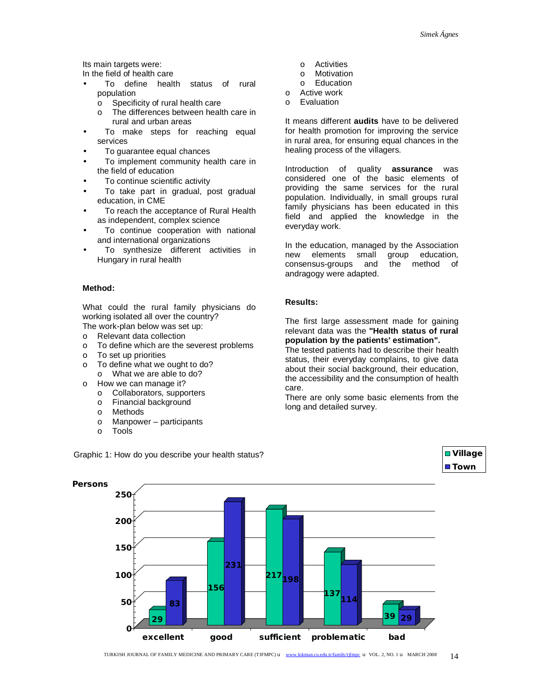Its main targets were:

In the field of health care

- To define health status of rural population
	- o Specificity of rural health care<br>
	o The differences between healt
		- The differences between health care in rural and urban areas
- To make steps for reaching equal services
- To guarantee equal chances
- To implement community health care in the field of education
- To continue scientific activity
- To take part in gradual, post gradual education, in CME
- To reach the acceptance of Rural Health as independent, complex science
- To continue cooperation with national and international organizations
- To synthesize different activities in Hungary in rural health

# **Method:**

What could the rural family physicians do working isolated all over the country?

The work-plan below was set up:

- o Relevant data collection
- o To define which are the severest problems
- o To set up priorities
- o To define what we ought to do?
	- o What we are able to do?
- o How we can manage it?
	- o Collaborators, supporters
	- o Financial background
	- o Methods
	- o Manpower participants
	- o Tools
- o Activities
- o Motivation
- o Education
- o Active work
- o Evaluation

It means different **audits** have to be delivered for health promotion for improving the service in rural area, for ensuring equal chances in the healing process of the villagers.

Introduction of quality **assurance** was considered one of the basic elements of providing the same services for the rural population. Individually, in small groups rural family physicians has been educated in this field and applied the knowledge in the everyday work.

In the education, managed by the Association new elements small group education, consensus-groups and the method of andragogy were adapted.

# **Results:**

The first large assessment made for gaining relevant data was the **"Health status of rural population by the patients' estimation".** 

The tested patients had to describe their health status, their everyday complains, to give data about their social background, their education, the accessibility and the consumption of health care.

There are only some basic elements from the long and detailed survey.



Graphic 1: How do you describe your health status?

**Village** ■ Town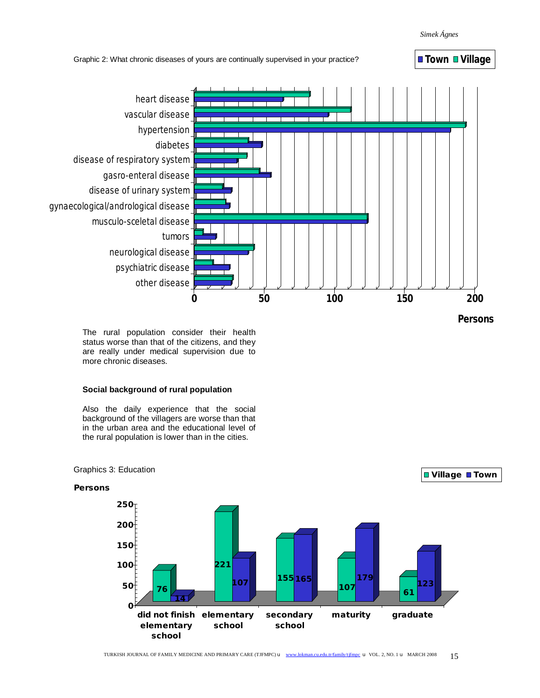*Simek Ágnes* 



**Persons**

The rural population consider their health status worse than that of the citizens, and they are really under medical supervision due to more chronic diseases.

## **Social background of rural population**

Also the daily experience that the social background of the villagers are worse than that in the urban area and the educational level of the rural population is lower than in the cities.



Graphics 3: Education

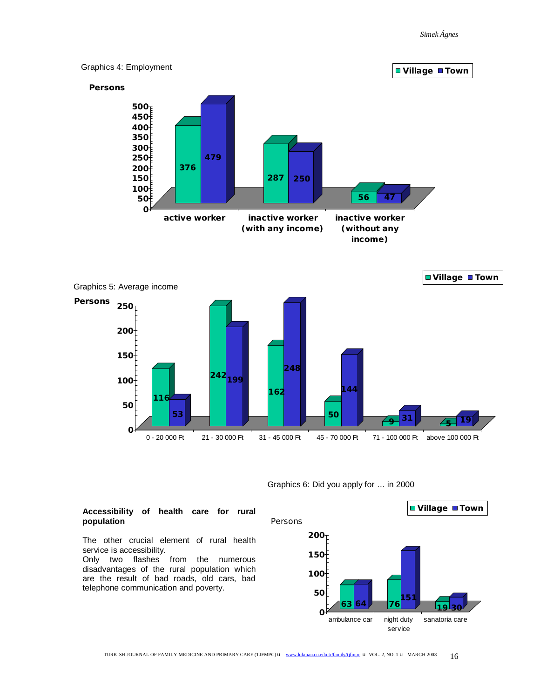

Graphics 6: Did you apply for … in 2000

# **Accessibility of health care for rural population**

The other crucial element of rural health service is accessibility.

Only two flashes from the numerous disadvantages of the rural population which are the result of bad roads, old cars, bad telephone communication and poverty.

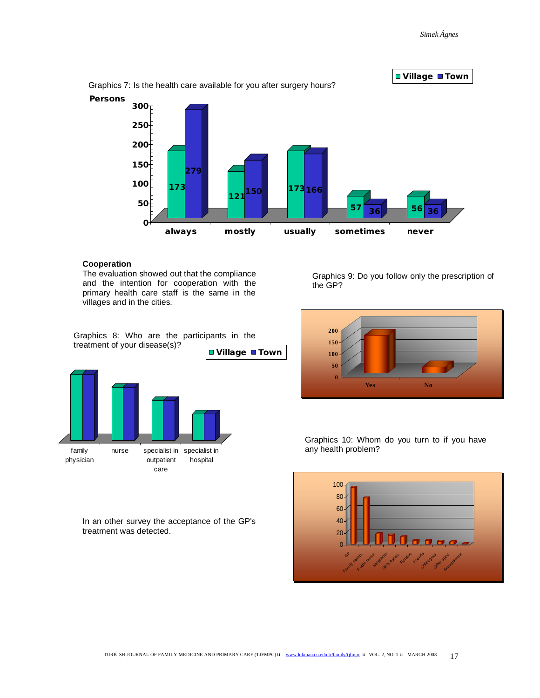

# **Cooperation**

The evaluation showed out that the compliance and the intention for cooperation with the primary health care staff is the same in the villages and in the cities.

Graphics 8: Who are the participants in the treatment of your disease(s)?



In an other survey the acceptance of the GP's treatment was detected.

Graphics 9: Do you follow only the prescription of the GP?



Graphics 10: Whom do you turn to if you have any health problem?

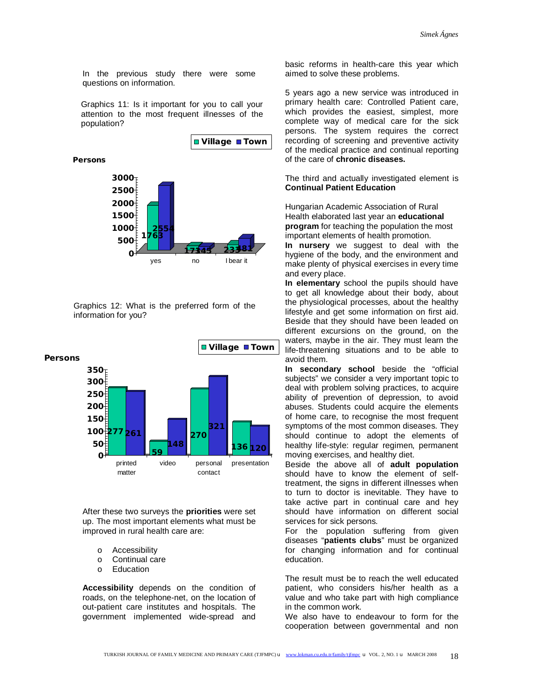In the previous study there were some questions on information.

**Is it important for you to call your attention**  population? Graphics 11: Is it important for you to call your attention to the most frequent illnesses of the

**1763 2554 <sup>173145</sup> 233481 <sup>0</sup> 500 1000 1500 2000 2500 3000 Persons** yes no I bear it **Village Town**

Graphics 12: What is the preferred form of the information for you?



After these two surveys the **priorities** were set up. The most important elements what must be improved in rural health care are:

- o Accessibility
- o Continual care
- o Education

**Accessibility** depends on the condition of roads, on the telephone-net, on the location of out-patient care institutes and hospitals. The government implemented wide-spread and

basic reforms in health-care this year which aimed to solve these problems.

5 years ago a new service was introduced in primary health care: Controlled Patient care, which provides the easiest, simplest, more complete way of medical care for the sick persons. The system requires the correct recording of screening and preventive activity of the medical practice and continual reporting of the care of **chronic diseases.**

The third and actually investigated element is **Continual Patient Education** 

Hungarian Academic Association of Rural Health elaborated last year an **educational program** for teaching the population the most important elements of health promotion.

**In nursery** we suggest to deal with the hygiene of the body, and the environment and make plenty of physical exercises in every time and every place.

**In elementary** school the pupils should have to get all knowledge about their body, about the physiological processes, about the healthy lifestyle and get some information on first aid. Beside that they should have been leaded on different excursions on the ground, on the waters, maybe in the air. They must learn the life-threatening situations and to be able to avoid them.

**In secondary school** beside the "official subjects" we consider a very important topic to deal with problem solving practices, to acquire ability of prevention of depression, to avoid abuses. Students could acquire the elements of home care, to recognise the most frequent symptoms of the most common diseases. They should continue to adopt the elements of healthy life-style: regular regimen, permanent moving exercises, and healthy diet.

Beside the above all of **adult population**  should have to know the element of selftreatment, the signs in different illnesses when to turn to doctor is inevitable. They have to take active part in continual care and hey should have information on different social services for sick persons.

For the population suffering from given diseases "**patients clubs**" must be organized for changing information and for continual education.

The result must be to reach the well educated patient, who considers his/her health as a value and who take part with high compliance in the common work.

We also have to endeavour to form for the cooperation between governmental and non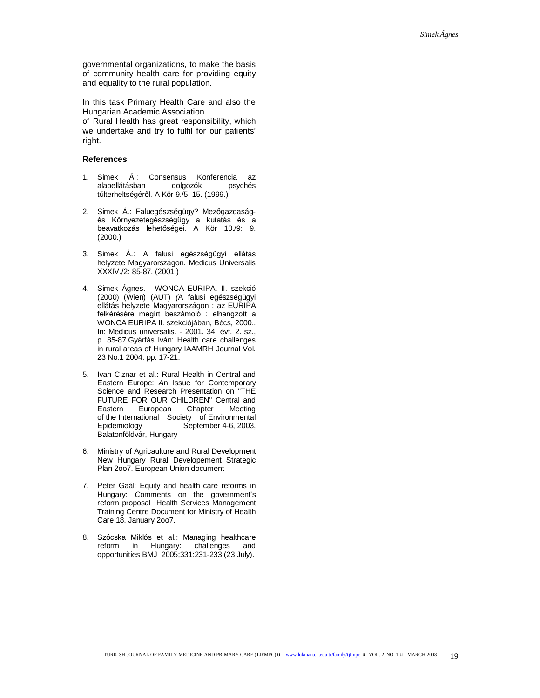governmental organizations, to make the basis of community health care for providing equity and equality to the rural population.

In this task Primary Health Care and also the Hungarian Academic Association of Rural Health has great responsibility, which we undertake and try to fulfil for our patients' right.

# **References**

- 1. Simek Á.: Consensus Konferencia az alapellátásban dolgozók psychés túlterheltségéről. A Kör 9./5: 15. (1999.)
- 2. Simek Á.: Faluegészségügy? Mezőgazdaságés Környezetegészségügy a kutatás és a beavatkozás lehetőségei. A Kör 10./9: 9. (2000.)
- 3. Simek Á.: A falusi egészségügyi ellátás helyzete Magyarországon. Medicus Universalis XXXIV./2: 85-87. (2001.)
- 4. Simek Ágnes. WONCA EURIPA. II. szekció (2000) (Wien) (AUT) *(*A falusi egészségügyi ellátás helyzete Magyarországon : az EURIPA felkérésére megírt beszámoló : elhangzott a WONCA EURIPA II. szekciójában, Bécs, 2000.. In: Medicus universalis. - 2001. 34. évf. 2. sz., p. 85-87.Gyárfás Iván: Health care challenges in rural areas of Hungary IAAMRH Journal Vol. 23 No.1 2004. pp. 17-21.
- 5. Ivan Ciznar et al.: Rural Health in Central and Eastern Europe: *A*n Issue for Contemporary Science and Research Presentation on "THE FUTURE FOR OUR CHILDREN" Central and Eastern European Chapter Meeting of the International Society of Environmental<br>Epidemiology September 4-6, 2003, September 4-6, 2003, Balatonföldvár, Hungary
- 6. Ministry of Agricaulture and Rural Development New Hungary Rural Developement Strategic Plan 2oo7. European Union document
- 7. Peter Gaál: Equity and health care reforms in Hungary: *C*omments on the government's reform proposal Health Services Management Training Centre Document for Ministry of Health Care 18. January 2oo7.
- 8. Szócska Miklós et al.: Managing healthcare reform in Hungary: challenges and opportunities BMJ 2005;331:231-233 (23 July).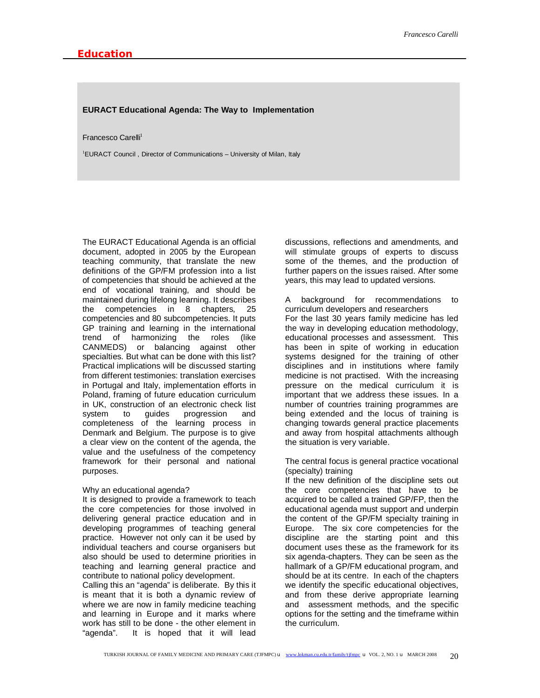#### **EURACT Educational Agenda: The Way to Implementation**

#### Francesco Carelli<sup>1</sup>

<sup>1</sup>EURACT Council , Director of Communications – University of Milan, Italy

The EURACT Educational Agenda is an official document, adopted in 2005 by the European teaching community, that translate the new definitions of the GP/FM profession into a list of competencies that should be achieved at the end of vocational training, and should be maintained during lifelong learning. It describes the competencies in 8 chapters, 25 competencies and 80 subcompetencies. It puts GP training and learning in the international trend of harmonizing the roles (like CANMEDS) or balancing against other specialties. But what can be done with this list? Practical implications will be discussed starting from different testimonies: translation exercises in Portugal and Italy, implementation efforts in Poland, framing of future education curriculum in UK, construction of an electronic check list system to guides progression and completeness of the learning process in Denmark and Belgium. The purpose is to give a clear view on the content of the agenda, the value and the usefulness of the competency framework for their personal and national purposes.

## Why an educational agenda?

It is designed to provide a framework to teach the core competencies for those involved in delivering general practice education and in developing programmes of teaching general practice. However not only can it be used by individual teachers and course organisers but also should be used to determine priorities in teaching and learning general practice and contribute to national policy development.

Calling this an "agenda" is deliberate. By this it is meant that it is both a dynamic review of where we are now in family medicine teaching and learning in Europe and it marks where work has still to be done - the other element in "agenda". It is hoped that it will lead

discussions, reflections and amendments, and will stimulate groups of experts to discuss some of the themes, and the production of further papers on the issues raised. After some years, this may lead to updated versions.

A background for recommendations to curriculum developers and researchers For the last 30 years family medicine has led the way in developing education methodology, educational processes and assessment. This has been in spite of working in education systems designed for the training of other disciplines and in institutions where family medicine is not practised. With the increasing pressure on the medical curriculum it is important that we address these issues. In a number of countries training programmes are being extended and the locus of training is changing towards general practice placements and away from hospital attachments although the situation is very variable.

The central focus is general practice vocational (specialty) training

If the new definition of the discipline sets out the core competencies that have to be acquired to be called a trained GP/FP, then the educational agenda must support and underpin the content of the GP/FM specialty training in Europe. The six core competencies for the discipline are the starting point and this document uses these as the framework for its six agenda-chapters. They can be seen as the hallmark of a GP/FM educational program, and should be at its centre. In each of the chapters we identify the specific educational objectives, and from these derive appropriate learning and assessment methods, and the specific options for the setting and the timeframe within the curriculum.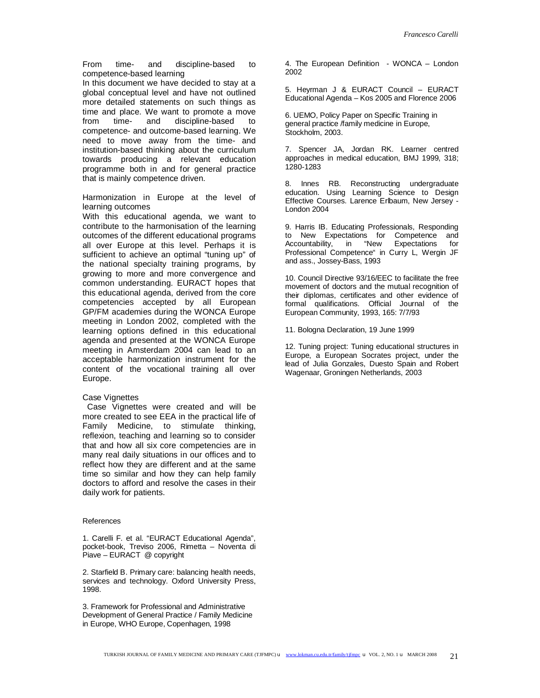From time- and discipline-based to competence-based learning

In this document we have decided to stay at a global conceptual level and have not outlined more detailed statements on such things as time and place. We want to promote a move from time- and discipline-based to competence- and outcome-based learning. We need to move away from the time- and institution-based thinking about the curriculum towards producing a relevant education programme both in and for general practice that is mainly competence driven.

Harmonization in Europe at the level of learning outcomes

With this educational agenda, we want to contribute to the harmonisation of the learning outcomes of the different educational programs all over Europe at this level. Perhaps it is sufficient to achieve an optimal "tuning up" of the national specialty training programs, by growing to more and more convergence and common understanding. EURACT hopes that this educational agenda, derived from the core competencies accepted by all European GP/FM academies during the WONCA Europe meeting in London 2002, completed with the learning options defined in this educational agenda and presented at the WONCA Europe meeting in Amsterdam 2004 can lead to an acceptable harmonization instrument for the content of the vocational training all over Europe.

#### Case Vignettes

 Case Vignettes were created and will be more created to see EEA in the practical life of Family Medicine, to stimulate thinking, reflexion, teaching and learning so to consider that and how all six core competencies are in many real daily situations in our offices and to reflect how they are different and at the same time so similar and how they can help family doctors to afford and resolve the cases in their daily work for patients.

#### References

1. Carelli F. et al. "EURACT Educational Agenda", pocket-book, Treviso 2006, Rimetta – Noventa di Piave – EURACT @ copyright

2. Starfield B. Primary care: balancing health needs, services and technology. Oxford University Press, 1998.

3. Framework for Professional and Administrative Development of General Practice / Family Medicine in Europe, WHO Europe, Copenhagen, 1998

4. The European Definition - WONCA – London 2002

5. Heyrman J & EURACT Council – EURACT Educational Agenda – Kos 2005 and Florence 2006

6. UEMO, Policy Paper on Specific Training in general practice /family medicine in Europe, Stockholm, 2003.

7. Spencer JA, Jordan RK. Learner centred approaches in medical education, BMJ 1999, 318; 1280-1283

8. Innes RB. Reconstructing undergraduate education. Using Learning Science to Design Effective Courses. Larence Erlbaum, New Jersey - London 2004

9. Harris IB. Educating Professionals, Responding to New Expectations for Competence and Accountability, in "New Expectations for Professional Competence" in Curry L, Wergin JF and ass., Jossey-Bass, 1993

10. Council Directive 93/16/EEC to facilitate the free movement of doctors and the mutual recognition of their diplomas, certificates and other evidence of formal qualifications. Official Journal of the European Community, 1993, 165: 7/7/93

11. Bologna Declaration, 19 June 1999

12. Tuning project: Tuning educational structures in Europe, a European Socrates project, under the lead of Julia Gonzales, Duesto Spain and Robert Wagenaar, Groningen Netherlands, 2003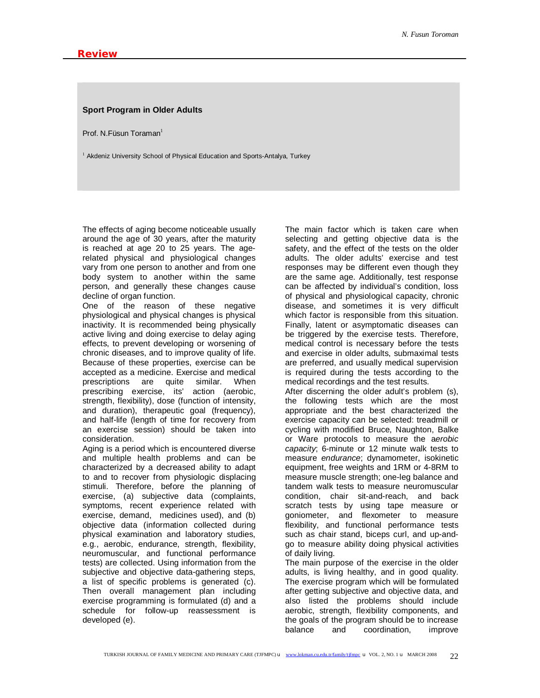## **Sport Program in Older Adults**

Prof. N.Füsun Toraman $1$ 

 $1$  Akdeniz University School of Physical Education and Sports-Antalya, Turkey

The effects of aging become noticeable usually around the age of 30 years, after the maturity is reached at age 20 to 25 years. The agerelated physical and physiological changes vary from one person to another and from one body system to another within the same person, and generally these changes cause decline of organ function.

One of the reason of these negative physiological and physical changes is physical inactivity. It is recommended being physically active living and doing exercise to delay aging effects, to prevent developing or worsening of chronic diseases, and to improve quality of life. Because of these properties, exercise can be accepted as a medicine. Exercise and medical prescriptions are quite similar. When prescribing exercise, its' action (aerobic, strength, flexibility), dose (function of intensity, and duration), therapeutic goal (frequency), and half-life (length of time for recovery from an exercise session) should be taken into consideration.

Aging is a period which is encountered diverse and multiple health problems and can be characterized by a decreased ability to adapt to and to recover from physiologic displacing stimuli. Therefore, before the planning of exercise, (a) subjective data (complaints, symptoms, recent experience related with exercise, demand, medicines used), and (b) objective data (information collected during physical examination and laboratory studies, e.g., aerobic, endurance, strength, flexibility, neuromuscular, and functional performance tests) are collected. Using information from the subjective and objective data-gathering steps, a list of specific problems is generated (c). Then overall management plan including exercise programming is formulated (d) and a schedule for follow-up reassessment is developed (e).

The main factor which is taken care when selecting and getting objective data is the safety, and the effect of the tests on the older adults. The older adults' exercise and test responses may be different even though they are the same age. Additionally, test response can be affected by individual's condition, loss of physical and physiological capacity, chronic disease, and sometimes it is very difficult which factor is responsible from this situation. Finally, latent or asymptomatic diseases can be triggered by the exercise tests. Therefore, medical control is necessary before the tests and exercise in older adults, submaximal tests are preferred, and usually medical supervision is required during the tests according to the medical recordings and the test results.

After discerning the older adult's problem (s), the following tests which are the most appropriate and the best characterized the exercise capacity can be selected: treadmill or cycling with modified Bruce, Naughton, Balke or Ware protocols to measure the a*erobic capacity*; 6-minute or 12 minute walk tests to measure *endurance*; dynamometer, isokinetic equipment, free weights and 1RM or 4-8RM to measure muscle strength; one-leg balance and tandem walk tests to measure neuromuscular condition, chair sit-and-reach, and back scratch tests by using tape measure or goniometer, and flexometer to measure flexibility, and functional performance tests such as chair stand, biceps curl, and up-andgo to measure ability doing physical activities of daily living.

The main purpose of the exercise in the older adults, is living healthy, and in good quality. The exercise program which will be formulated after getting subjective and objective data, and also listed the problems should include aerobic, strength, flexibility components, and the goals of the program should be to increase balance and coordination, improve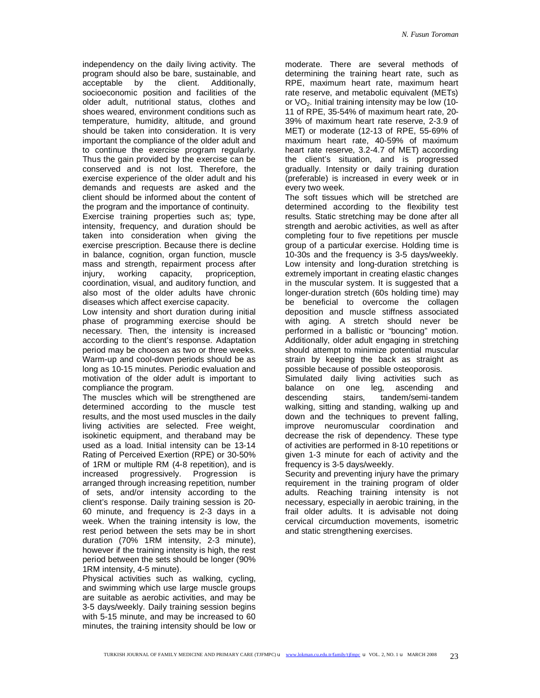independency on the daily living activity. The program should also be bare, sustainable, and acceptable by the client. Additionally, socioeconomic position and facilities of the older adult, nutritional status, clothes and shoes weared, environment conditions such as temperature, humidity, altitude, and ground should be taken into consideration. It is very important the compliance of the older adult and to continue the exercise program regularly. Thus the gain provided by the exercise can be conserved and is not lost. Therefore, the exercise experience of the older adult and his demands and requests are asked and the client should be informed about the content of the program and the importance of continuity.

Exercise training properties such as; type, intensity, frequency, and duration should be taken into consideration when giving the exercise prescription. Because there is decline in balance, cognition, organ function, muscle mass and strength, repairment process after<br>iniurv. working capacity, propriception, injury, working capacity, propriception, coordination, visual, and auditory function, and also most of the older adults have chronic diseases which affect exercise capacity.

Low intensity and short duration during initial phase of programming exercise should be necessary. Then, the intensity is increased according to the client's response. Adaptation period may be choosen as two or three weeks. Warm-up and cool-down periods should be as long as 10-15 minutes. Periodic evaluation and motivation of the older adult is important to compliance the program.

The muscles which will be strengthened are determined according to the muscle test results, and the most used muscles in the daily living activities are selected. Free weight, isokinetic equipment, and theraband may be used as a load. Initial intensity can be 13-14 Rating of Perceived Exertion (RPE) or 30-50% of 1RM or multiple RM (4-8 repetition), and is increased progressively. Progression is arranged through increasing repetition, number of sets, and/or intensity according to the client's response. Daily training session is 20- 60 minute, and frequency is 2-3 days in a week. When the training intensity is low, the rest period between the sets may be in short duration (70% 1RM intensity, 2-3 minute), however if the training intensity is high, the rest period between the sets should be longer (90% 1RM intensity, 4-5 minute).

Physical activities such as walking, cycling, and swimming which use large muscle groups are suitable as aerobic activities, and may be 3-5 days/weekly. Daily training session begins with 5-15 minute, and may be increased to 60 minutes, the training intensity should be low or

moderate. There are several methods of determining the training heart rate, such as RPE, maximum heart rate, maximum heart rate reserve, and metabolic equivalent (METs) or  $VO<sub>2</sub>$ . Initial training intensity may be low (10-11 of RPE, 35-54% of maximum heart rate, 20- 39% of maximum heart rate reserve, 2-3.9 of MET) or moderate (12-13 of RPE, 55-69% of maximum heart rate, 40-59% of maximum heart rate reserve, 3.2-4.7 of MET) according the client's situation, and is progressed gradually. Intensity or daily training duration (preferable) is increased in every week or in every two week.

The soft tissues which will be stretched are determined according to the flexibility test results. Static stretching may be done after all strength and aerobic activities, as well as after completing four to five repetitions per muscle group of a particular exercise. Holding time is 10-30s and the frequency is 3-5 days/weekly. Low intensity and long-duration stretching is extremely important in creating elastic changes in the muscular system. It is suggested that a longer-duration stretch (60s holding time) may be beneficial to overcome the collagen deposition and muscle stiffness associated with aging. A stretch should never be performed in a ballistic or "bouncing" motion. Additionally, older adult engaging in stretching should attempt to minimize potential muscular strain by keeping the back as straight as possible because of possible osteoporosis.

Simulated daily living activities such as balance on one leg, ascending and descending stairs, tandem/semi-tandem walking, sitting and standing, walking up and down and the techniques to prevent falling, improve neuromuscular coordination and decrease the risk of dependency. These type of activities are performed in 8-10 repetitions or given 1-3 minute for each of activity and the frequency is 3-5 days/weekly.

Security and preventing injury have the primary requirement in the training program of older adults. Reaching training intensity is not necessary, especially in aerobic training, in the frail older adults. It is advisable not doing cervical circumduction movements, isometric and static strengthening exercises.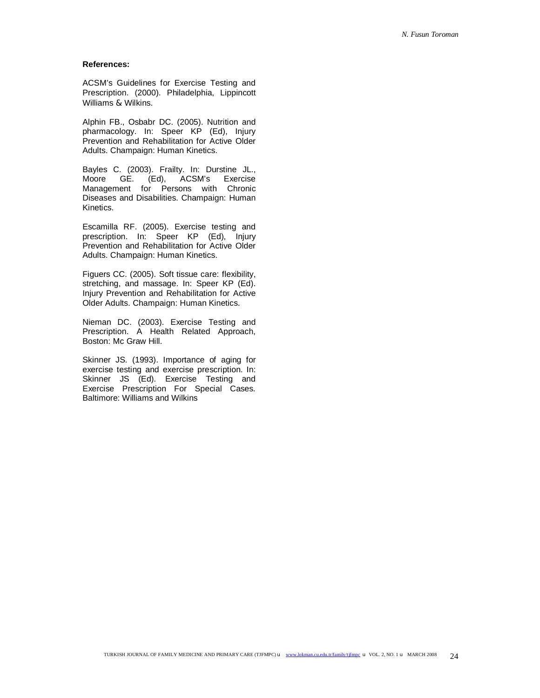## **References:**

ACSM's Guidelines for Exercise Testing and Prescription. (2000). Philadelphia, Lippincott Williams & Wilkins.

Alphin FB., Osbabr DC. (2005). Nutrition and pharmacology. In: Speer KP (Ed), Injury Prevention and Rehabilitation for Active Older Adults. Champaign: Human Kinetics.

Bayles C. (2003). Frailty. In: Durstine JL., Moore GE. (Ed), ACSM's Exercise Management for Persons with Chronic Diseases and Disabilities. Champaign: Human Kinetics.

Escamilla RF. (2005). Exercise testing and prescription. In: Speer KP (Ed), Injury Prevention and Rehabilitation for Active Older Adults. Champaign: Human Kinetics.

Figuers CC. (2005). Soft tissue care: flexibility, stretching, and massage. In: Speer KP (Ed). Injury Prevention and Rehabilitation for Active Older Adults. Champaign: Human Kinetics.

Nieman DC. (2003). Exercise Testing and Prescription. A Health Related Approach, Boston: Mc Graw Hill.

Skinner JS. (1993). Importance of aging for exercise testing and exercise prescription. In: Skinner JS (Ed). Exercise Testing and Exercise Prescription For Special Cases. Baltimore: Williams and Wilkins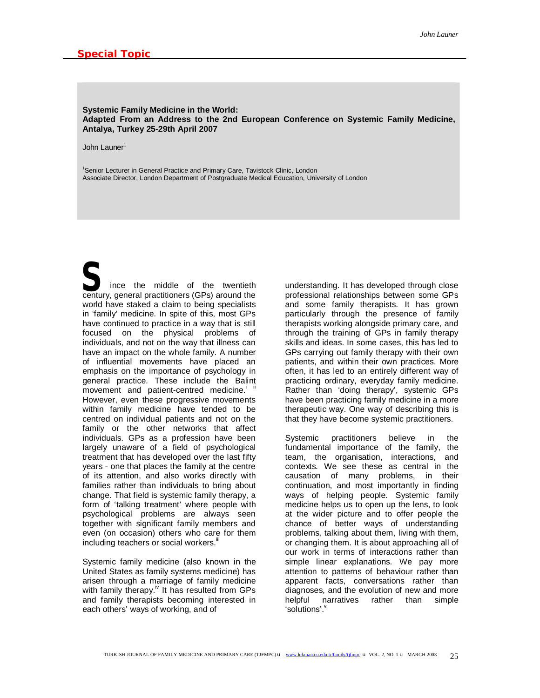## **Systemic Family Medicine in the World: Adapted From an Address to the 2nd European Conference on Systemic Family Medicine, Antalya, Turkey 25-29th April 2007**

John Launer $1$ 

<sup>1</sup>Senior Lecturer in General Practice and Primary Care, Tavistock Clinic, London Associate Director, London Department of Postgraduate Medical Education, University of London

S<br>
Fince the middle of the twentieth<br>
century, general practitioners (GPs) around the ince the middle of the twentieth world have staked a claim to being specialists in 'family' medicine. In spite of this, most GPs have continued to practice in a way that is still focused on the physical problems of individuals, and not on the way that illness can have an impact on the whole family. A number of influential movements have placed an emphasis on the importance of psychology in general practice. These include the Balint movement and patient-centred medicine. However, even these progressive movements within family medicine have tended to be centred on individual patients and not on the family or the other networks that affect individuals. GPs as a profession have been largely unaware of a field of psychological treatment that has developed over the last fifty years - one that places the family at the centre of its attention, and also works directly with families rather than individuals to bring about change. That field is systemic family therapy, a form of 'talking treatment' where people with psychological problems are always seen together with significant family members and even (on occasion) others who care for them including teachers or social workers.<sup>iii</sup>

Systemic family medicine (also known in the United States as family systems medicine) has arisen through a marriage of family medicine with family therapy. $\frac{N}{k}$  It has resulted from GPs and family therapists becoming interested in each others' ways of working, and of

understanding. It has developed through close professional relationships between some GPs and some family therapists. It has grown particularly through the presence of family therapists working alongside primary care, and through the training of GPs in family therapy skills and ideas. In some cases, this has led to GPs carrying out family therapy with their own patients, and within their own practices. More often, it has led to an entirely different way of practicing ordinary, everyday family medicine. Rather than 'doing therapy', systemic GPs have been practicing family medicine in a more therapeutic way. One way of describing this is that they have become systemic practitioners.

Systemic practitioners believe in the fundamental importance of the family, the team, the organisation, interactions, and contexts. We see these as central in the causation of many problems, in their continuation, and most importantly in finding ways of helping people. Systemic family medicine helps us to open up the lens, to look at the wider picture and to offer people the chance of better ways of understanding problems, talking about them, living with them, or changing them. It is about approaching all of our work in terms of interactions rather than simple linear explanations. We pay more attention to patterns of behaviour rather than apparent facts, conversations rather than diagnoses, and the evolution of new and more helpful narratives rather than simple 'solutions'.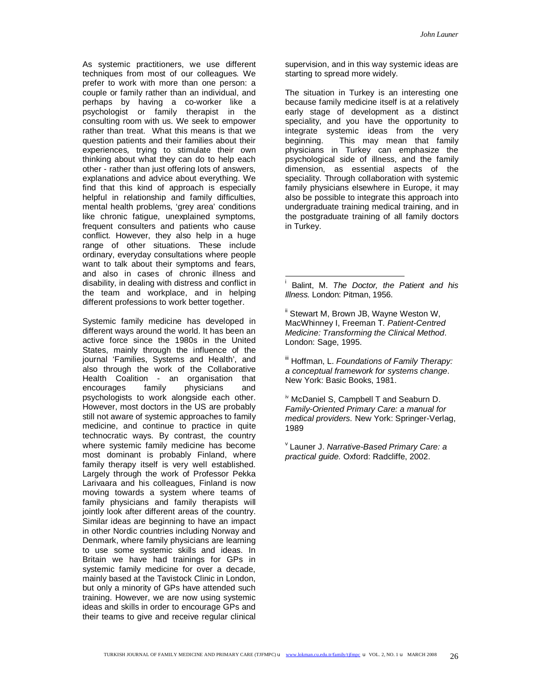As systemic practitioners, we use different techniques from most of our colleagues. We prefer to work with more than one person: a couple or family rather than an individual, and perhaps by having a co-worker like a psychologist or family therapist in the consulting room with us. We seek to empower rather than treat. What this means is that we question patients and their families about their experiences, trying to stimulate their own thinking about what they can do to help each other - rather than just offering lots of answers, explanations and advice about everything. We find that this kind of approach is especially helpful in relationship and family difficulties, mental health problems, 'grey area' conditions like chronic fatigue, unexplained symptoms, frequent consulters and patients who cause conflict. However, they also help in a huge range of other situations. These include ordinary, everyday consultations where people want to talk about their symptoms and fears, and also in cases of chronic illness and disability, in dealing with distress and conflict in the team and workplace, and in helping different professions to work better together.

Systemic family medicine has developed in different ways around the world. It has been an active force since the 1980s in the United States, mainly through the influence of the journal 'Families, Systems and Health', and also through the work of the Collaborative Health Coalition - an organisation that encourages family physicians and psychologists to work alongside each other. However, most doctors in the US are probably still not aware of systemic approaches to family medicine, and continue to practice in quite technocratic ways. By contrast, the country where systemic family medicine has become most dominant is probably Finland, where family therapy itself is very well established. Largely through the work of Professor Pekka Larivaara and his colleagues, Finland is now moving towards a system where teams of family physicians and family therapists will jointly look after different areas of the country. Similar ideas are beginning to have an impact in other Nordic countries including Norway and Denmark, where family physicians are learning to use some systemic skills and ideas. In Britain we have had trainings for GPs in systemic family medicine for over a decade, mainly based at the Tavistock Clinic in London, but only a minority of GPs have attended such training. However, we are now using systemic ideas and skills in order to encourage GPs and their teams to give and receive regular clinical

supervision, and in this way systemic ideas are starting to spread more widely.

The situation in Turkey is an interesting one because family medicine itself is at a relatively early stage of development as a distinct speciality, and you have the opportunity to integrate systemic ideas from the very<br>beginning. This may mean that family This may mean that family physicians in Turkey can emphasize the psychological side of illness, and the family dimension, as essential aspects of the speciality. Through collaboration with systemic family physicians elsewhere in Europe, it may also be possible to integrate this approach into undergraduate training medical training, and in the postgraduate training of all family doctors in Turkey.

<sup>ii</sup> Stewart M, Brown JB, Wayne Weston W, MacWhinney I, Freeman T. *Patient-Centred Medicine: Transforming the Clinical Method*. London: Sage, 1995.

iii Hoffman, L. *Foundations of Family Therapy: a conceptual framework for systems change*. New York: Basic Books, 1981.

iv McDaniel S, Campbell T and Seaburn D. *Family-Oriented Primary Care: a manual for medical providers.* New York: Springer-Verlag, 1989

v Launer J. *Narrative-Based Primary Care: a practical guide.* Oxford: Radcliffe, 2002.

 $\frac{1}{2}$ 

i Balint, M. *The Doctor, the Patient and his Illness.* London: Pitman, 1956.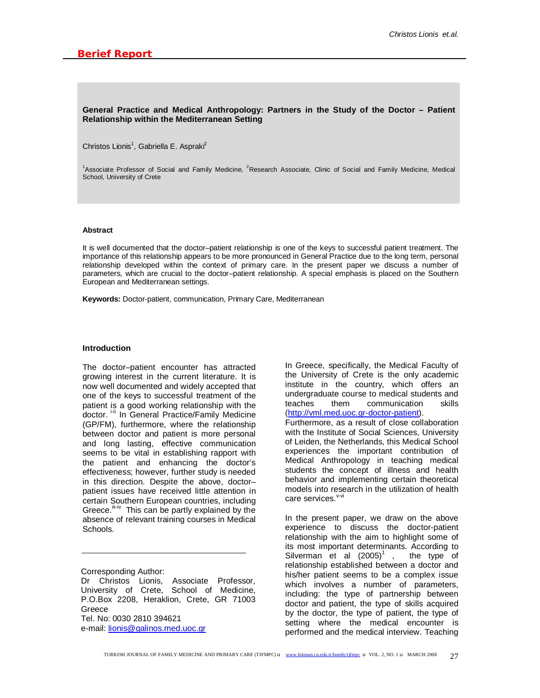## **General Practice and Medical Anthropology: Partners in the Study of the Doctor – Patient Relationship within the Mediterranean Setting**

Christos Lionis<sup>1</sup>, Gabriella E. Aspraki<sup>2</sup>

<sup>1</sup>Associate Professor of Social and Family Medicine, <sup>2</sup>Research Associate, Clinic of Social and Family Medicine, Medical School, University of Crete

#### **Abstract**

It is well documented that the doctor-patient relationship is one of the keys to successful patient treatment. The importance of this relationship appears to be more pronounced in General Practice due to the long term, personal relationship developed within the context of primary care. In the present paper we discuss a number of parameters, which are crucial to the doctor–patient relationship. A special emphasis is placed on the Southern European and Mediterranean settings.

**Keywords:** Doctor-patient, communication, Primary Care, Mediterranean

## **Introduction**

The doctor–patient encounter has attracted growing interest in the current literature. It is now well documented and widely accepted that one of the keys to successful treatment of the patient is a good working relationship with the doctor. i-ii In General Practice/Family Medicine (GP/FM), furthermore, where the relationship between doctor and patient is more personal and long lasting, effective communication seems to be vital in establishing rapport with the patient and enhancing the doctor's effectiveness; however, further study is needed in this direction. Despite the above, doctor– patient issues have received little attention in certain Southern European countries, including Greece.<sup>iii-iv</sup> This can be partly explained by the absence of relevant training courses in Medical Schools.

Corresponding Author:

Dr Christos Lionis, Associate Professor, University of Crete, School of Medicine, P.O.Box 2208, Heraklion, Crete, GR 71003 Greece Tel. No: 0030 2810 394621 e-mail: [lionis@galinos.med.uoc.gr](mailto:lionis@galinos.med.uoc.gr)

In Greece, specifically, the Medical Faculty of the University of Crete is the only academic institute in the country, which offers an undergraduate course to medical students and teaches them communication skills ([http://vml.med.uoc.gr-doctor-patient\)](http://vml.med.uoc.gr-doctor-patient).

Furthermore, as a result of close collaboration with the Institute of Social Sciences, University of Leiden, the Netherlands, this Medical School experiences the important contribution of Medical Anthropology in teaching medical students the concept of illness and health behavior and implementing certain theoretical models into research in the utilization of health care services. V-vi

In the present paper, we draw on the above experience to discuss the doctor-patient relationship with the aim to highlight some of its most important determinants. According to Silverman et al  $(2005)^{1}$ , the type of relationship established between a doctor and his/her patient seems to be a complex issue which involves a number of parameters, including: the type of partnership between doctor and patient, the type of skills acquired by the doctor, the type of patient, the type of setting where the medical encounter is performed and the medical interview. Teaching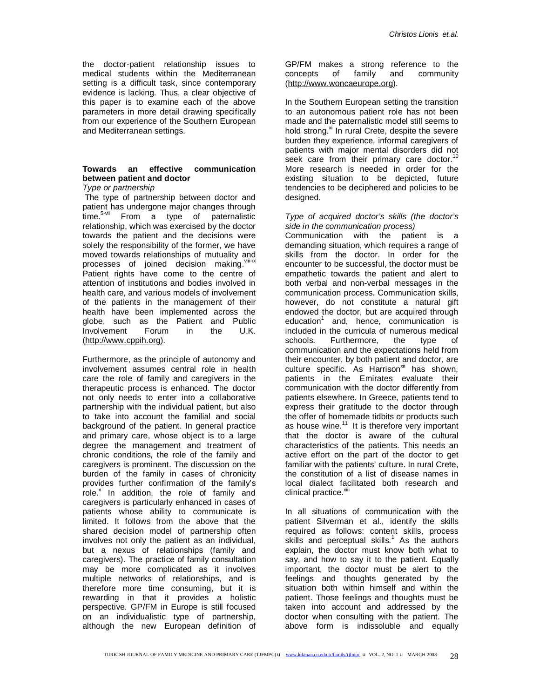the doctor-patient relationship issues to medical students within the Mediterranean setting is a difficult task, since contemporary evidence is lacking. Thus, a clear objective of this paper is to examine each of the above parameters in more detail drawing specifically from our experience of the Southern European and Mediterranean settings.

# **Towards an effective communication between patient and doctor**

*Type or partnership* 

The type of partnership between doctor and patient has undergone major changes through time.<sup>5-vii</sup> From a type of paternalistic relationship, which was exercised by the doctor towards the patient and the decisions were solely the responsibility of the former, we have moved towards relationships of mutuality and processes of joined decision making. Vili-ix Patient rights have come to the centre of attention of institutions and bodies involved in health care, and various models of involvement of the patients in the management of their health have been implemented across the globe, such as the Patient and Public Involvement Forum in the U.K. ([http://www.cppih.org\)](http://www.cppih.org).

Furthermore, as the principle of autonomy and involvement assumes central role in health care the role of family and caregivers in the therapeutic process is enhanced. The doctor not only needs to enter into a collaborative partnership with the individual patient, but also to take into account the familial and social background of the patient. In general practice and primary care, whose object is to a large degree the management and treatment of chronic conditions, the role of the family and caregivers is prominent. The discussion on the burden of the family in cases of chronicity provides further confirmation of the family's .<br>role.<sup>x</sup> In addition, the role of family and caregivers is particularly enhanced in cases of patients whose ability to communicate is limited. It follows from the above that the shared decision model of partnership often involves not only the patient as an individual, but a nexus of relationships (family and caregivers). The practice of family consultation may be more complicated as it involves multiple networks of relationships, and is therefore more time consuming, but it is rewarding in that it provides a holistic perspective. GP/FM in Europe is still focused on an individualistic type of partnership, although the new European definition of

GP/FM makes a strong reference to the concepts of family and community ([http://www.woncaeurope.org\)](http://www.woncaeurope.org).

In the Southern European setting the transition to an autonomous patient role has not been made and the paternalistic model still seems to hold strong.<sup>xi</sup> In rural Crete, despite the severe burden they experience, informal caregivers of patients with major mental disorders did not seek care from their primary care doctor.<sup>1</sup> More research is needed in order for the existing situation to be depicted, future tendencies to be deciphered and policies to be designed.

## *Type of acquired doctor's skills (the doctor's side in the communication process)*

Communication with the patient is a demanding situation, which requires a range of skills from the doctor. In order for the encounter to be successful, the doctor must be empathetic towards the patient and alert to both verbal and non-verbal messages in the communication process. Communication skills, however, do not constitute a natural gift endowed the doctor, but are acquired through education<sup>1</sup> and, hence, communication is included in the curricula of numerous medical schools. Furthermore, the type of communication and the expectations held from their encounter, by both patient and doctor, are culture specific. As Harrison<sup>xii</sup> has shown, patients in the Emirates evaluate their communication with the doctor differently from patients elsewhere. In Greece, patients tend to express their gratitude to the doctor through the offer of homemade tidbits or products such as house wine. $11$  It is therefore very important that the doctor is aware of the cultural characteristics of the patients. This needs an active effort on the part of the doctor to get familiar with the patients' culture. In rural Crete, the constitution of a list of disease names in local dialect facilitated both research and clinical practice.<sup>xiii</sup>

In all situations of communication with the patient Silverman et al., identify the skills required as follows: content skills, process skills and perceptual skills. $1$  As the authors explain, the doctor must know both what to say, and how to say it to the patient. Equally important, the doctor must be alert to the feelings and thoughts generated by the situation both within himself and within the patient. Those feelings and thoughts must be taken into account and addressed by the doctor when consulting with the patient. The above form is indissoluble and equally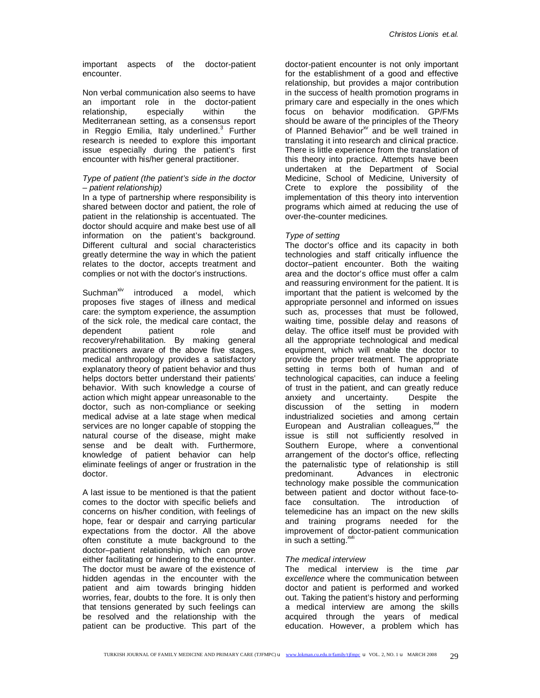important aspects of the doctor-patient encounter.

Non verbal communication also seems to have an important role in the doctor-patient relationship, especially within the Mediterranean setting, as a consensus report in Reggio Emilia, Italy underlined.<sup>3</sup> Further research is needed to explore this important issue especially during the patient's first encounter with his/her general practitioner.

# *Type of patient (the patient's side in the doctor – patient relationship)*

In a type of partnership where responsibility is shared between doctor and patient, the role of patient in the relationship is accentuated. The doctor should acquire and make best use of all information on the patient's background. Different cultural and social characteristics greatly determine the way in which the patient relates to the doctor, accepts treatment and complies or not with the doctor's instructions.

Suchman<sup>xiv</sup> introduced a model, which proposes five stages of illness and medical care: the symptom experience, the assumption of the sick role, the medical care contact, the dependent patient role and recovery/rehabilitation. By making general practitioners aware of the above five stages, medical anthropology provides a satisfactory explanatory theory of patient behavior and thus helps doctors better understand their patients' behavior. With such knowledge a course of action which might appear unreasonable to the doctor, such as non-compliance or seeking medical advise at a late stage when medical services are no longer capable of stopping the natural course of the disease, might make sense and be dealt with. Furthermore, knowledge of patient behavior can help eliminate feelings of anger or frustration in the doctor.

A last issue to be mentioned is that the patient comes to the doctor with specific beliefs and concerns on his/her condition, with feelings of hope, fear or despair and carrying particular expectations from the doctor. All the above often constitute a mute background to the doctor–patient relationship, which can prove either facilitating or hindering to the encounter. The doctor must be aware of the existence of hidden agendas in the encounter with the patient and aim towards bringing hidden worries, fear, doubts to the fore. It is only then that tensions generated by such feelings can be resolved and the relationship with the patient can be productive. This part of the

doctor-patient encounter is not only important for the establishment of a good and effective relationship, but provides a major contribution in the success of health promotion programs in primary care and especially in the ones which focus on behavior modification. GP/FMs should be aware of the principles of the Theory of Planned Behavior<sup>xv</sup> and be well trained in translating it into research and clinical practice. There is little experience from the translation of this theory into practice. Attempts have been undertaken at the Department of Social Medicine, School of Medicine, University of Crete to explore the possibility of the implementation of this theory into intervention programs which aimed at reducing the use of over-the-counter medicines.

# *Type of setting*

The doctor's office and its capacity in both technologies and staff critically influence the doctor–patient encounter. Both the waiting area and the doctor's office must offer a calm and reassuring environment for the patient. It is important that the patient is welcomed by the appropriate personnel and informed on issues such as, processes that must be followed, waiting time, possible delay and reasons of delay. The office itself must be provided with all the appropriate technological and medical equipment, which will enable the doctor to provide the proper treatment. The appropriate setting in terms both of human and of technological capacities, can induce a feeling of trust in the patient, and can greatly reduce anxiety and uncertainty. Despite the discussion of the setting in modern industrialized societies and among certain European and Australian colleagues, $x^M$  the issue is still not sufficiently resolved in Southern Europe, where a conventional arrangement of the doctor's office, reflecting the paternalistic type of relationship is still predominant. Advances in electronic technology make possible the communication between patient and doctor without face-toface consultation. The introduction of telemedicine has an impact on the new skills and training programs needed for the improvement of doctor-patient communication in such a setting. $x^{\text{wii}}$ 

## *The medical interview*

The medical interview is the time *par excellence* where the communication between doctor and patient is performed and worked out. Taking the patient's history and performing a medical interview are among the skills acquired through the years of medical education. However, a problem which has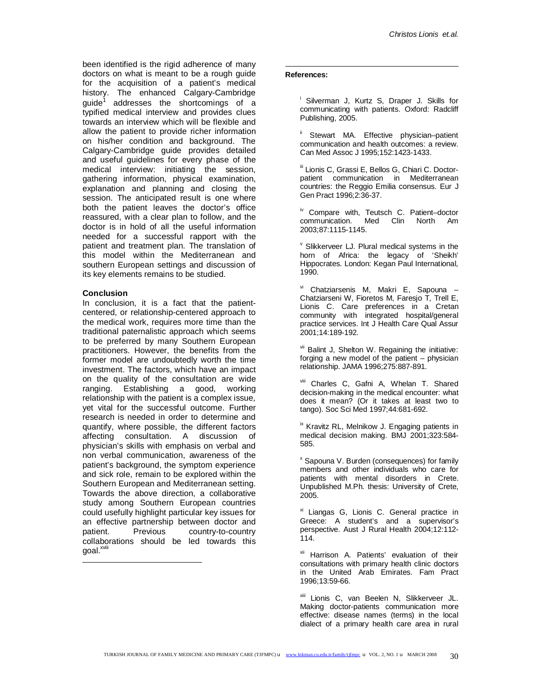been identified is the rigid adherence of many doctors on what is meant to be a rough guide for the acquisition of a patient's medical history. The enhanced Calgary-Cambridge guide $^1$  addresses the shortcomings of a typified medical interview and provides clues towards an interview which will be flexible and allow the patient to provide richer information on his/her condition and background. The Calgary-Cambridge guide provides detailed and useful guidelines for every phase of the medical interview: initiating the session, gathering information, physical examination, explanation and planning and closing the session. The anticipated result is one where both the patient leaves the doctor's office reassured, with a clear plan to follow, and the doctor is in hold of all the useful information needed for a successful rapport with the patient and treatment plan. The translation of this model within the Mediterranean and southern European settings and discussion of its key elements remains to be studied.

## **Conclusion**

-

In conclusion, it is a fact that the patientcentered, or relationship-centered approach to the medical work, requires more time than the traditional paternalistic approach which seems to be preferred by many Southern European practitioners. However, the benefits from the former model are undoubtedly worth the time investment. The factors, which have an impact on the quality of the consultation are wide ranging. Establishing a good, working relationship with the patient is a complex issue, yet vital for the successful outcome. Further research is needed in order to determine and quantify, where possible, the different factors affecting consultation. A discussion of physician's skills with emphasis on verbal and non verbal communication, awareness of the patient's background, the symptom experience and sick role, remain to be explored within the Southern European and Mediterranean setting. Towards the above direction, a collaborative study among Southern European countries could usefully highlight particular key issues for an effective partnership between doctor and patient. Previous country-to-country collaborations should be led towards this goal.<sup>xviii</sup>

## $\overline{a}$ **References:**

<sup>i</sup> Silverman J, Kurtz S, Draper J. Skills for communicating with patients. Oxford: Radcliff Publishing, 2005.

Stewart MA. Effective physician–patient communication and health outcomes: a review. Can Med Assoc J 1995;152:1423-1433.

iii Lionis C, Grassi E, Bellos G, Chiari C. Doctorpatient communication in Mediterranean countries: the Reggio Emilia consensus. Eur J Gen Pract 1996;2:36-37.

iv Compare with, Teutsch C. Patient–doctor communication. Med Clin North Am 2003;87:1115-1145.

 $\textdegree$  Slikkerveer LJ. Plural medical systems in the horn of Africa: the legacy of 'Sheikh' Hippocrates. London: Kegan Paul International, 1990.

vi Chatziarsenis M, Makri E, Sapouna -Chatziarseni W, Fioretos M, Faresjo T, Trell E, Lionis C. Care preferences in a Cretan community with integrated hospital/general practice services. Int J Health Care Qual Assur 2001;14:189-192.

vii Balint J, Shelton W. Regaining the initiative: forging a new model of the patient – physician relationship. JAMA 1996;275:887-891.

viii Charles C, Gafni A, Whelan T. Shared decision-making in the medical encounter: what does it mean? (Or it takes at least two to tango). Soc Sci Med 1997;44:681-692.

ix Kravitz RL, Melnikow J. Engaging patients in medical decision making. BMJ 2001;323:584- 585.

<sup>x</sup> Sapouna V. Burden (consequences) for family members and other individuals who care for patients with mental disorders in Crete. Unpublished M.Ph. thesis: University of Crete, 2005.

xi Liangas G, Lionis C. General practice in Greece: A student's and a supervisor's perspective. Aust J Rural Health 2004;12:112- 114.

xii Harrison A. Patients' evaluation of their consultations with primary health clinic doctors in the United Arab Emirates. Fam Pract 1996;13:59*-*66.

xiii Lionis C, van Beelen N, Slikkerveer JL. Making doctor-patients communication more effective: disease names (terms) in the local dialect of a primary health care area in rural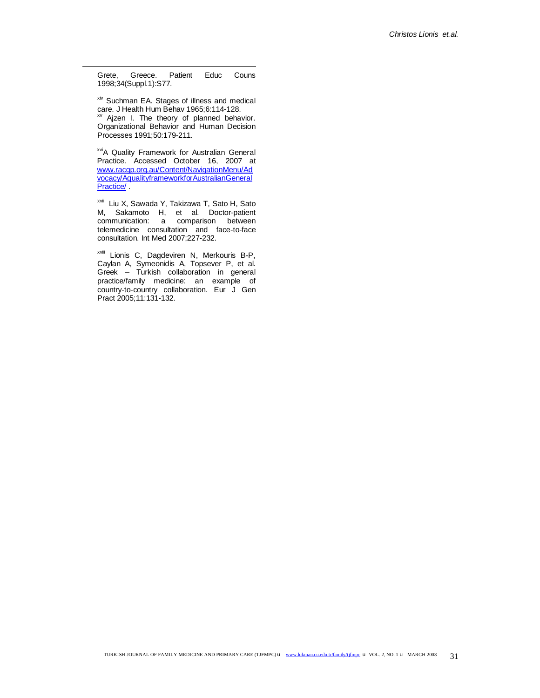Grete, Greece. Patient Educ Couns 1998;34(Suppl.1):S77.

 $\overline{a}$ 

xiv Suchman EA. Stages of illness and medical care. J Health Hum Behav 1965;6:114-128. <sup>xv</sup> Ajzen I. The theory of planned behavior. Organizational Behavior and Human Decision Processes 1991;50:179-211.

xviA Quality Framework for Australian General Practice. Accessed October 16, 2007 at [www.racgp.org.au/Content/NavigationMenu/Ad](http://www.racgp.org.au/Content/NavigationMenu/Ad) vocacy/AqualityframeworkforAustralianGeneral Practice/

xvii Liu X, Sawada Y, Takizawa T, Sato H, Sato M, Sakamoto H, et al. Doctor-patient communication: a comparison between telemedicine consultation and face-to-face consultation. Int Med 2007;227-232.

xviii Lionis C, Dagdeviren N, Merkouris B-P, Caylan A, Symeonidis A, Topsever P, et al. Greek – Turkish collaboration in general practice/family medicine: an example of country-to-country collaboration. Eur J Gen Pract 2005;11:131-132.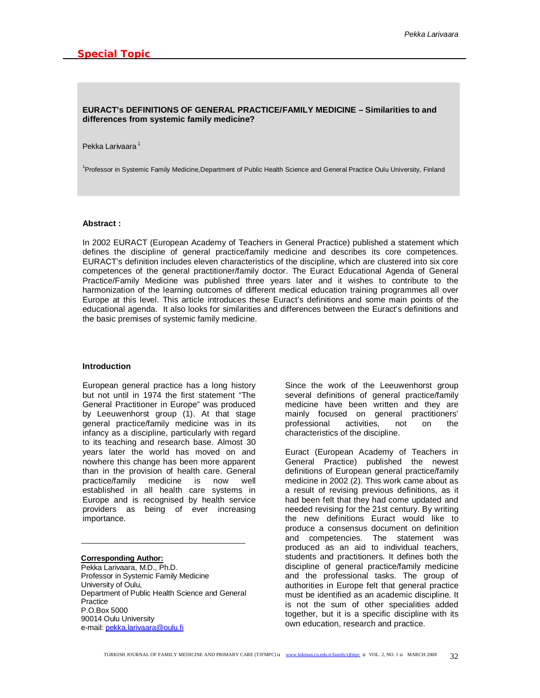## **EURACT's DEFINITIONS OF GENERAL PRACTICE/FAMILY MEDICINE – Similarities to and differences from systemic family medicine?**

#### Pekka Larivaara<sup>1</sup>

<sup>1</sup> Professor in Systemic Family Medicine, Department of Public Health Science and General Practice Oulu University, Finland

#### **Abstract :**

In 2002 EURACT (European Academy of Teachers in General Practice) published a statement which defines the discipline of general practice/family medicine and describes its core competences. EURACT's definition includes eleven characteristics of the discipline, which are clustered into six core competences of the general practitioner/family doctor. The Euract Educational Agenda of General Practice/Family Medicine was published three years later and it wishes to contribute to the harmonization of the learning outcomes of different medical education training programmes all over Europe at this level. This article introduces these Euract's definitions and some main points of the educational agenda. It also looks for similarities and differences between the Euract's definitions and the basic premises of systemic family medicine.

#### **Introduction**

European general practice has a long history but not until in 1974 the first statement "The General Practitioner in Europe" was produced by Leeuwenhorst group (1). At that stage general practice/family medicine was in its infancy as a discipline, particularly with regard to its teaching and research base. Almost 30 years later the world has moved on and nowhere this change has been more apparent than in the provision of health care. General practice/family medicine is now well established in all health care systems in Europe and is recognised by health service providers as being of ever increasing importance.

# **Corresponding Author:**

Pekka Larivaara, M.D., Ph.D. Professor in Systemic Family Medicine University of Oulu, Department of Public Health Science and General **Practice** P.O.Box 5000 90014 Oulu University e-mail: [pekka.larivaara@oulu.fi](mailto:pekka.larivaara@oulu.fi)

Since the work of the Leeuwenhorst group several definitions of general practice/family medicine have been written and they are mainly focused on general practitioners' professional activities, not on the characteristics of the discipline.

Euract (European Academy of Teachers in General Practice) published the newest definitions of European general practice/family medicine in 2002 (2). This work came about as a result of revising previous definitions, as it had been felt that they had come updated and needed revising for the 21st century. By writing the new definitions Euract would like to produce a consensus document on definition and competencies. The statement was produced as an aid to individual teachers, students and practitioners. It defines both the discipline of general practice/family medicine and the professional tasks. The group of authorities in Europe felt that general practice must be identified as an academic discipline. It is not the sum of other specialities added together, but it is a specific discipline with its own education, research and practice.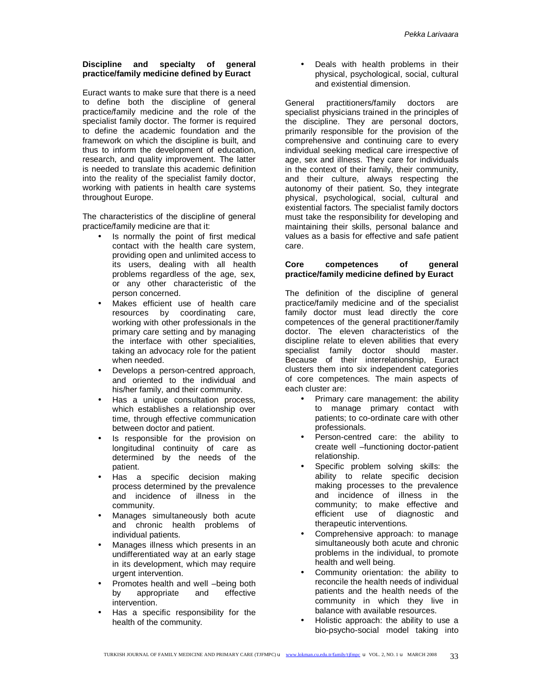# **Discipline and specialty of general practice/family medicine defined by Euract**

Euract wants to make sure that there is a need to define both the discipline of general practice/family medicine and the role of the specialist family doctor. The former is required to define the academic foundation and the framework on which the discipline is built, and thus to inform the development of education, research, and quality improvement. The latter is needed to translate this academic definition into the reality of the specialist family doctor, working with patients in health care systems throughout Europe.

The characteristics of the discipline of general practice/family medicine are that it:

- Is normally the point of first medical contact with the health care system, providing open and unlimited access to its users, dealing with all health problems regardless of the age, sex, or any other characteristic of the person concerned.
- Makes efficient use of health care resources by coordinating care, working with other professionals in the primary care setting and by managing the interface with other specialities, taking an advocacy role for the patient when needed.
- Develops a person-centred approach, and oriented to the individual and his/her family, and their community.
- Has a unique consultation process, which establishes a relationship over time, through effective communication between doctor and patient.
- Is responsible for the provision on longitudinal continuity of care as determined by the needs of the patient.
- Has a specific decision making process determined by the prevalence and incidence of illness in the community.
- Manages simultaneously both acute and chronic health problems of individual patients.
- Manages illness which presents in an undifferentiated way at an early stage in its development, which may require urgent intervention.
- Promotes health and well –being both by appropriate and effective intervention.
- Has a specific responsibility for the health of the community.

• Deals with health problems in their physical, psychological, social, cultural and existential dimension.

General practitioners/family doctors are specialist physicians trained in the principles of the discipline. They are personal doctors, primarily responsible for the provision of the comprehensive and continuing care to every individual seeking medical care irrespective of age, sex and illness. They care for individuals in the context of their family, their community, and their culture, always respecting the autonomy of their patient. So, they integrate physical, psychological, social, cultural and existential factors. The specialist family doctors must take the responsibility for developing and maintaining their skills, personal balance and values as a basis for effective and safe patient care.

## **Core competences of general practice/family medicine defined by Euract**

The definition of the discipline of general practice/family medicine and of the specialist family doctor must lead directly the core competences of the general practitioner/family doctor. The eleven characteristics of the discipline relate to eleven abilities that every specialist family doctor should master. Because of their interrelationship, Euract clusters them into six independent categories of core competences. The main aspects of each cluster are:

- Primary care management: the ability to manage primary contact with patients; to co-ordinate care with other professionals.
- Person-centred care: the ability to create well –functioning doctor-patient relationship.
- Specific problem solving skills: the ability to relate specific decision making processes to the prevalence and incidence of illness in the community; to make effective and efficient use of diagnostic and therapeutic interventions.
- Comprehensive approach: to manage simultaneously both acute and chronic problems in the individual, to promote health and well being.
- Community orientation: the ability to reconcile the health needs of individual patients and the health needs of the community in which they live in balance with available resources.
- Holistic approach: the ability to use a bio-psycho-social model taking into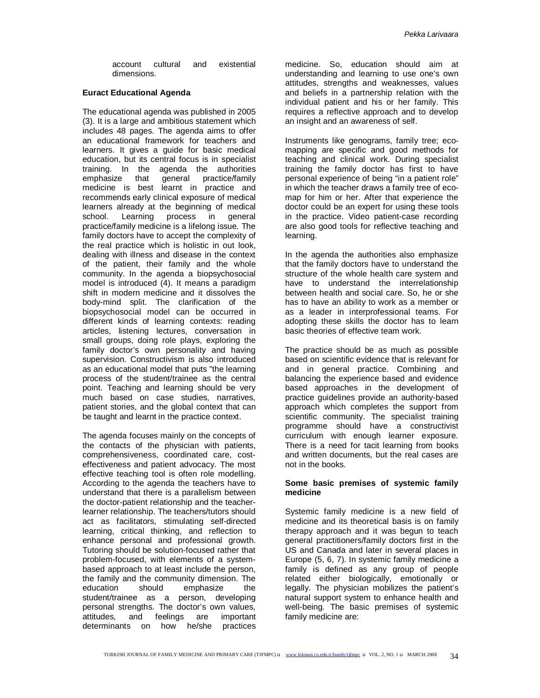account cultural and existential dimensions.

## **Euract Educational Agenda**

The educational agenda was published in 2005 (3). It is a large and ambitious statement which includes 48 pages. The agenda aims to offer an educational framework for teachers and learners. It gives a guide for basic medical education, but its central focus is in specialist training. In the agenda the authorities emphasize that general practice/family medicine is best learnt in practice and recommends early clinical exposure of medical learners already at the beginning of medical school. Learning process in general practice/family medicine is a lifelong issue. The family doctors have to accept the complexity of the real practice which is holistic in out look, dealing with illness and disease in the context of the patient, their family and the whole community. In the agenda a biopsychosocial model is introduced (4). It means a paradigm shift in modern medicine and it dissolves the body-mind split. The clarification of the biopsychosocial model can be occurred in different kinds of learning contexts: reading articles, listening lectures, conversation in small groups, doing role plays, exploring the family doctor's own personality and having supervision. Constructivism is also introduced as an educational model that puts "the learning process of the student/trainee as the central point. Teaching and learning should be very much based on case studies, narratives, patient stories, and the global context that can be taught and learnt in the practice context.

The agenda focuses mainly on the concepts of the contacts of the physician with patients, comprehensiveness, coordinated care, costeffectiveness and patient advocacy. The most effective teaching tool is often role modelling. According to the agenda the teachers have to understand that there is a parallelism between the doctor-patient relationship and the teacherlearner relationship. The teachers/tutors should act as facilitators, stimulating self-directed learning, critical thinking, and reflection to enhance personal and professional growth. Tutoring should be solution-focused rather that problem-focused, with elements of a systembased approach to at least include the person, the family and the community dimension. The education should emphasize the student/trainee as a person, developing personal strengths. The doctor's own values, attitudes, and feelings are important determinants on how he/she practices

medicine. So, education should aim at understanding and learning to use one's own attitudes, strengths and weaknesses, values and beliefs in a partnership relation with the individual patient and his or her family. This requires a reflective approach and to develop an insight and an awareness of self.

Instruments like genograms, family tree; ecomapping are specific and good methods for teaching and clinical work. During specialist training the family doctor has first to have personal experience of being "in a patient role" in which the teacher draws a family tree of ecomap for him or her. After that experience the doctor could be an expert for using these tools in the practice. Video patient-case recording are also good tools for reflective teaching and learning.

In the agenda the authorities also emphasize that the family doctors have to understand the structure of the whole health care system and have to understand the interrelationship between health and social care. So, he or she has to have an ability to work as a member or as a leader in interprofessional teams. For adopting these skills the doctor has to learn basic theories of effective team work.

The practice should be as much as possible based on scientific evidence that is relevant for and in general practice. Combining and balancing the experience based and evidence based approaches in the development of practice guidelines provide an authority-based approach which completes the support from scientific community. The specialist training programme should have a constructivist curriculum with enough learner exposure. There is a need for tacit learning from books and written documents, but the real cases are not in the books.

## **Some basic premises of systemic family medicine**

Systemic family medicine is a new field of medicine and its theoretical basis is on family therapy approach and it was begun to teach general practitioners/family doctors first in the US and Canada and later in several places in Europe (5, 6, 7). In systemic family medicine a family is defined as any group of people related either biologically, emotionally or legally. The physician mobilizes the patient's natural support system to enhance health and well-being. The basic premises of systemic family medicine are: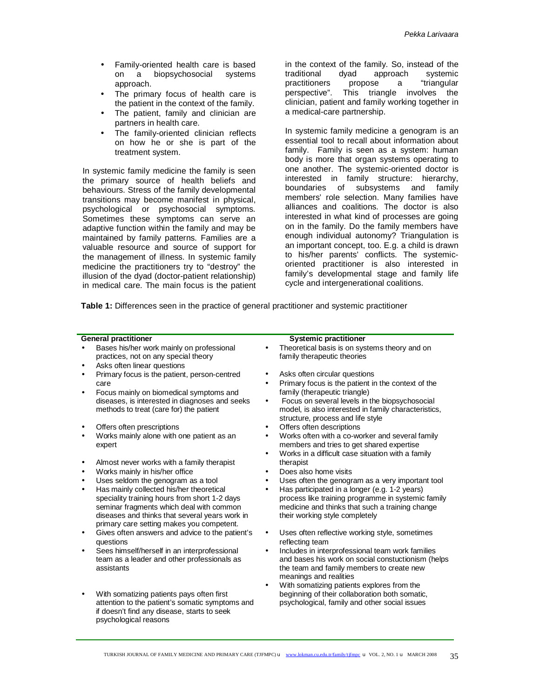- Family-oriented health care is based on a biopsychosocial systems approach.
- The primary focus of health care is the patient in the context of the family.
- The patient, family and clinician are partners in health care.
- The family-oriented clinician reflects on how he or she is part of the treatment system.

In systemic family medicine the family is seen the primary source of health beliefs and behaviours. Stress of the family developmental transitions may become manifest in physical, psychological or psychosocial symptoms. Sometimes these symptoms can serve an adaptive function within the family and may be maintained by family patterns. Families are a valuable resource and source of support for the management of illness. In systemic family medicine the practitioners try to "destroy" the illusion of the dyad (doctor-patient relationship) in medical care. The main focus is the patient

in the context of the family. So, instead of the traditional dyad approach systemic practitioners propose a "triangular perspective". This triangle involves the clinician, patient and family working together in a medical-care partnership.

In systemic family medicine a genogram is an essential tool to recall about information about family. Family is seen as a system: human body is more that organ systems operating to one another. The systemic-oriented doctor is interested in family structure: hierarchy, boundaries of subsystems and family members' role selection. Many families have alliances and coalitions. The doctor is also interested in what kind of processes are going on in the family. Do the family members have enough individual autonomy? Triangulation is an important concept, too. E.g. a child is drawn to his/her parents' conflicts. The systemicoriented practitioner is also interested in family's developmental stage and family life cycle and intergenerational coalitions.

**Table 1:** Differences seen in the practice of general practitioner and systemic practitioner

- Bases his/her work mainly on professional practices, not on any special theory
- Asks often linear questions
- Primary focus is the patient, person-centred care
- Focus mainly on biomedical symptoms and diseases, is interested in diagnoses and seeks methods to treat (care for) the patient
- Offers often prescriptions
- Works mainly alone with one patient as an expert
- Almost never works with a family therapist
- Works mainly in his/her office
- Uses seldom the genogram as a tool
- Has mainly collected his/her theoretical speciality training hours from short 1-2 days seminar fragments which deal with common diseases and thinks that several years work in primary care setting makes you competent.
- Gives often answers and advice to the patient's questions
- Sees himself/herself in an interprofessional team as a leader and other professionals as assistants
- With somatizing patients pays often first attention to the patient's somatic symptoms and if doesn't find any disease, starts to seek psychological reasons

#### **General practitioner CENER Systemic practitioner Systemic practitioner**

- Theoretical basis is on systems theory and on family therapeutic theories
- Asks often circular questions
- Primary focus is the patient in the context of the family (therapeutic triangle)
- Focus on several levels in the biopsychosocial model, is also interested in family characteristics, structure, process and life style
- Offers often descriptions
- Works often with a co-worker and several family members and tries to get shared expertise
- Works in a difficult case situation with a family therapist
- Does also home visits
- Uses often the genogram as a very important tool
- Has participated in a longer (e.g. 1-2 years) process like training programme in systemic family medicine and thinks that such a training change their working style completely
- Uses often reflective working style, sometimes reflecting team
- Includes in interprofessional team work families and bases his work on social constuctionism (helps the team and family members to create new meanings and realities
- With somatizing patients explores from the beginning of their collaboration both somatic, psychological, family and other social issues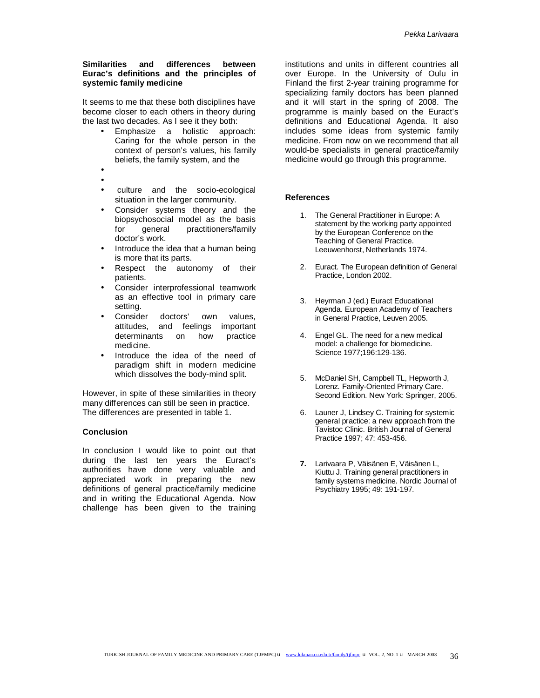# **Similarities and differences between Eurac's definitions and the principles of systemic family medicine**

It seems to me that these both disciplines have become closer to each others in theory during the last two decades. As I see it they both:

- Emphasize a holistic approach: Caring for the whole person in the context of person's values, his family beliefs, the family system, and the
- •
- culture and the socio-ecological situation in the larger community.
- Consider systems theory and the biopsychosocial model as the basis<br>for general practitioners/family for general practitioners/family doctor's work.
- Introduce the idea that a human being is more that its parts.
- Respect the autonomy of their patients.
- Consider interprofessional teamwork as an effective tool in primary care setting.
- Consider doctors' own values, attitudes, and feelings important determinants on how practice medicine.
- Introduce the idea of the need of paradigm shift in modern medicine which dissolves the body-mind split.

However, in spite of these similarities in theory many differences can still be seen in practice. The differences are presented in table 1.

# **Conclusion**

In conclusion I would like to point out that during the last ten years the Euract's authorities have done very valuable and appreciated work in preparing the new definitions of general practice/family medicine and in writing the Educational Agenda. Now challenge has been given to the training

institutions and units in different countries all over Europe. In the University of Oulu in Finland the first 2-year training programme for specializing family doctors has been planned and it will start in the spring of 2008. The programme is mainly based on the Euract's definitions and Educational Agenda. It also includes some ideas from systemic family medicine. From now on we recommend that all would-be specialists in general practice/family medicine would go through this programme.

# **References**

- 1. The General Practitioner in Europe: A statement by the working party appointed by the European Conference on the Teaching of General Practice. Leeuwenhorst, Netherlands 1974.
- 2. Euract. The European definition of General Practice, London 2002.
- 3. Heyrman J (ed.) Euract Educational Agenda. European Academy of Teachers in General Practice, Leuven 2005.
- 4. Engel GL. The need for a new medical model: a challenge for biomedicine. Science 1977;196:129-136.
- 5. McDaniel SH, Campbell TL, Hepworth J, Lorenz. Family-Oriented Primary Care. Second Edition. New York: Springer, 2005.
- 6. Launer J, Lindsey C. Training for systemic general practice: a new approach from the Tavistoc Clinic. British Journal of General Practice 1997; 47: 453-456.
- **7.** Larivaara P, Väisänen E, Väisänen L, Kiuttu J. Training general practitioners in family systems medicine. Nordic Journal of Psychiatry 1995; 49: 191-197.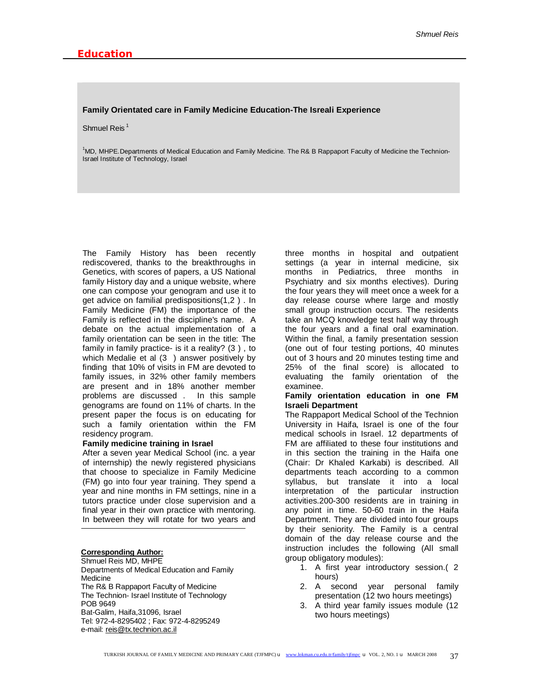#### **Family Orientated care in Family Medicine Education-The Isreali Experience**

#### Shmuel Reis $<sup>1</sup>$ </sup>

<sup>1</sup>MD, MHPE.Departments of Medical Education and Family Medicine. The R& B Rappaport Faculty of Medicine the Technion-Israel Institute of Technology, Israel

The Family History has been recently rediscovered, thanks to the breakthroughs in Genetics, with scores of papers, a US National family History day and a unique website, where one can compose your genogram and use it to get advice on familial predispositions(1,2 ) . In Family Medicine (FM) the importance of the Family is reflected in the discipline's name. A debate on the actual implementation of a family orientation can be seen in the title: The family in family practice- is it a reality? (3 ) , to which Medalie et al (3) answer positively by finding that 10% of visits in FM are devoted to family issues, in 32% other family members are present and in 18% another member problems are discussed . In this sample genograms are found on 11% of charts. In the present paper the focus is on educating for such a family orientation within the FM residency program.

#### **Family medicine training in Israel**

After a seven year Medical School (inc. a year of internship) the newly registered physicians that choose to specialize in Family Medicine (FM) go into four year training. They spend a year and nine months in FM settings, nine in a tutors practice under close supervision and a final year in their own practice with mentoring. In between they will rotate for two years and

**Corresponding Author:**  Shmuel Reis MD, MHPE Departments of Medical Education and Family Medicine The R& B Rappaport Faculty of Medicine The Technion- Israel Institute of Technology POB 9649 Bat-Galim, Haifa,31096, Israel Tel: 972-4-8295402 ; Fax: 972-4-8295249 e-mail: [reis@tx.technion.ac.il](mailto:reis@tx.technion.ac.il)

three months in hospital and outpatient settings (a year in internal medicine, six months in Pediatrics, three months in Psychiatry and six months electives). During the four years they will meet once a week for a day release course where large and mostly small group instruction occurs. The residents take an MCQ knowledge test half way through the four years and a final oral examination. Within the final, a family presentation session (one out of four testing portions, 40 minutes out of 3 hours and 20 minutes testing time and 25% of the final score) is allocated to evaluating the family orientation of the examinee.

#### **Family orientation education in one FM Israeli Department**

The Rappaport Medical School of the Technion University in Haifa, Israel is one of the four medical schools in Israel. 12 departments of FM are affiliated to these four institutions and in this section the training in the Haifa one (Chair: Dr Khaled Karkabi) is described. All departments teach according to a common syllabus, but translate it into a local interpretation of the particular instruction activities.200-300 residents are in training in any point in time. 50-60 train in the Haifa Department. They are divided into four groups by their seniority. The Family is a central domain of the day release course and the instruction includes the following (All small group obligatory modules):

- 1. A first year introductory session.( 2 hours)
- 2. A second year personal family presentation (12 two hours meetings)
- 3. A third year family issues module (12 two hours meetings)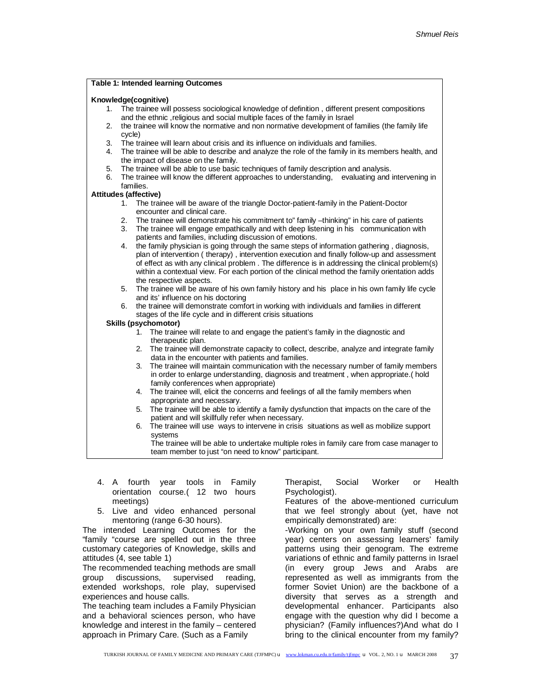|    |         | <b>Table 1: Intended learning Outcomes</b>                                                                                                          |
|----|---------|-----------------------------------------------------------------------------------------------------------------------------------------------------|
|    |         | Knowledge(cognitive)                                                                                                                                |
| 1. |         | The trainee will possess sociological knowledge of definition, different present compositions                                                       |
|    |         | and the ethnic, religious and social multiple faces of the family in Israel                                                                         |
| 2. |         | the trainee will know the normative and non normative development of families (the family life                                                      |
|    | cycle)  |                                                                                                                                                     |
| 3. |         | The trainee will learn about crisis and its influence on individuals and families.                                                                  |
| 4. |         | The trainee will be able to describe and analyze the role of the family in its members health, and                                                  |
|    |         | the impact of disease on the family.                                                                                                                |
| 5. |         | The trainee will be able to use basic techniques of family description and analysis.                                                                |
| 6. |         | The trainee will know the different approaches to understanding, evaluating and intervening in                                                      |
|    |         | families.                                                                                                                                           |
|    |         | <b>Attitudes (affective)</b>                                                                                                                        |
|    | $1_{-}$ | The trainee will be aware of the triangle Doctor-patient-family in the Patient-Doctor<br>encounter and clinical care.                               |
|    | 2.      | The trainee will demonstrate his commitment to" family -thinking" in his care of patients                                                           |
|    | 3.      | The trainee will engage empathically and with deep listening in his communication with                                                              |
|    |         | patients and families, including discussion of emotions.                                                                                            |
|    | 4.      | the family physician is going through the same steps of information gathering, diagnosis,                                                           |
|    |         | plan of intervention (therapy), intervention execution and finally follow-up and assessment                                                         |
|    |         | of effect as with any clinical problem. The difference is in addressing the clinical problem(s)                                                     |
|    |         | within a contextual view. For each portion of the clinical method the family orientation adds                                                       |
|    |         | the respective aspects.                                                                                                                             |
|    |         | 5. The trainee will be aware of his own family history and his place in his own family life cycle<br>and its' influence on his doctoring            |
|    | 6.      | the trainee will demonstrate comfort in working with individuals and families in different                                                          |
|    |         | stages of the life cycle and in different crisis situations                                                                                         |
|    |         | <b>Skills (psychomotor)</b>                                                                                                                         |
|    |         | 1. The trainee will relate to and engage the patient's family in the diagnostic and<br>therapeutic plan.                                            |
|    |         | The trainee will demonstrate capacity to collect, describe, analyze and integrate family<br>2.<br>data in the encounter with patients and families. |
|    |         | 3. The trainee will maintain communication with the necessary number of family members                                                              |
|    |         | in order to enlarge understanding, diagnosis and treatment, when appropriate.(hold                                                                  |
|    |         | family conferences when appropriate)                                                                                                                |
|    |         | 4. The trainee will, elicit the concerns and feelings of all the family members when                                                                |
|    |         | appropriate and necessary.                                                                                                                          |
|    |         | The trainee will be able to identify a family dysfunction that impacts on the care of the<br>5.                                                     |
|    |         | patient and will skillfully refer when necessary.                                                                                                   |
|    |         | The trainee will use ways to intervene in crisis situations as well as mobilize support<br>6.                                                       |
|    |         | systems<br>The trainee will be able to undertake multiple roles in family care from case manager to                                                 |
|    |         | team member to just "on need to know" participant.                                                                                                  |
|    |         |                                                                                                                                                     |

- 4. A fourth year tools in Family orientation course.( 12 two hours meetings)
- 5. Live and video enhanced personal mentoring (range 6-30 hours).

The intended Learning Outcomes for the "family "course are spelled out in the three customary categories of Knowledge, skills and attitudes (4, see table 1)

The recommended teaching methods are small group discussions, supervised reading, extended workshops, role play, supervised experiences and house calls.

The teaching team includes a Family Physician and a behavioral sciences person, who have knowledge and interest in the family – centered approach in Primary Care. (Such as a Family

Therapist, Social Worker or Health Psychologist).

Features of the above-mentioned curriculum that we feel strongly about (yet, have not empirically demonstrated) are:

-Working on your own family stuff (second year) centers on assessing learners' family patterns using their genogram. The extreme variations of ethnic and family patterns in Israel (in every group Jews and Arabs are represented as well as immigrants from the former Soviet Union) are the backbone of a diversity that serves as a strength and developmental enhancer. Participants also engage with the question why did I become a physician? (Family influences?)And what do I bring to the clinical encounter from my family?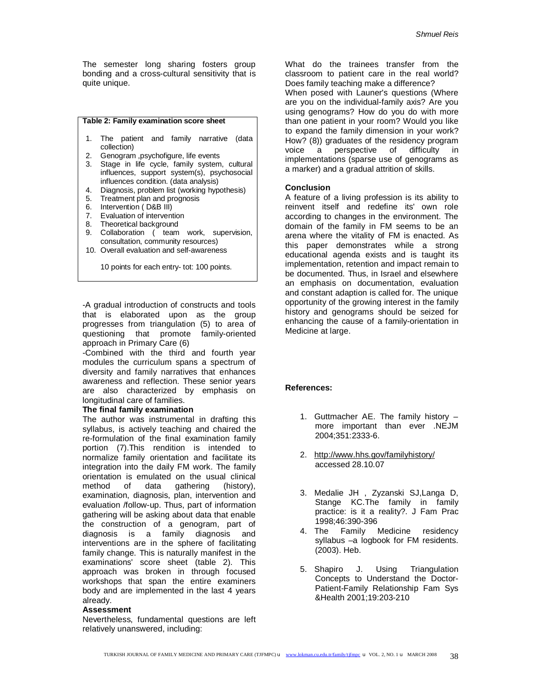The semester long sharing fosters group bonding and a cross-cultural sensitivity that is quite unique.

## **Table 2: Family examination score sheet**

- 1. The patient and family narrative (data collection)
- 2. Genogram ,psychofigure, life events
- 3. Stage in life cycle, family system, cultural influences, support system(s), psychosocial influences condition. (data analysis)
- 4. Diagnosis, problem list (working hypothesis)<br>5. Treatment plan and prognosis
- Treatment plan and prognosis
- 6. Intervention ( D&B III)
- 7. Evaluation of intervention<br>8. Theoretical background
- Theoretical background
- 9. Collaboration ( team work, supervision, consultation, community resources)
- 10. Overall evaluation and self-awareness

10 points for each entry- tot: 100 points.

-A gradual introduction of constructs and tools that is elaborated upon as the group progresses from triangulation (5) to area of questioning that promote family-oriented approach in Primary Care (6)

-Combined with the third and fourth year modules the curriculum spans a spectrum of diversity and family narratives that enhances awareness and reflection. These senior years are also characterized by emphasis on longitudinal care of families.

## **The final family examination**

The author was instrumental in drafting this syllabus, is actively teaching and chaired the re-formulation of the final examination family portion (7).This rendition is intended to normalize family orientation and facilitate its integration into the daily FM work. The family orientation is emulated on the usual clinical method of data gathering (history), examination, diagnosis, plan, intervention and evaluation /follow-up. Thus, part of information gathering will be asking about data that enable the construction of a genogram, part of diagnosis is a family diagnosis and interventions are in the sphere of facilitating family change. This is naturally manifest in the examinations' score sheet (table 2). This approach was broken in through focused workshops that span the entire examiners body and are implemented in the last 4 years already.

#### **Assessment**

Nevertheless, fundamental questions are left relatively unanswered, including:

What do the trainees transfer from the classroom to patient care in the real world? Does family teaching make a difference?

When posed with Launer's questions (Where are you on the individual-family axis? Are you using genograms? How do you do with more than one patient in your room? Would you like to expand the family dimension in your work? How? (8)) graduates of the residency program voice a perspective of difficulty in implementations (sparse use of genograms as a marker) and a gradual attrition of skills.

#### **Conclusion**

A feature of a living profession is its ability to reinvent itself and redefine its' own role according to changes in the environment. The domain of the family in FM seems to be an arena where the vitality of FM is enacted. As this paper demonstrates while a strong educational agenda exists and is taught its implementation, retention and impact remain to be documented. Thus, in Israel and elsewhere an emphasis on documentation, evaluation and constant adaption is called for. The unique opportunity of the growing interest in the family history and genograms should be seized for enhancing the cause of a family-orientation in Medicine at large.

#### **References:**

- 1. Guttmacher AE. The family history more important than ever .NEJM 2004;351:2333-6.
- 2. <http://www.hhs.gov/familyhistory/> accessed 28.10.07
- 3. Medalie JH , Zyzanski SJ,Langa D, Stange KC.The family in family practice: is it a reality?. J Fam Prac 1998;46:390-396
- 4. The Family Medicine residency syllabus –a logbook for FM residents. (2003). Heb.
- 5. Shapiro J. Using Triangulation Concepts to Understand the Doctor-Patient-Family Relationship Fam Sys &Health 2001;19:203-210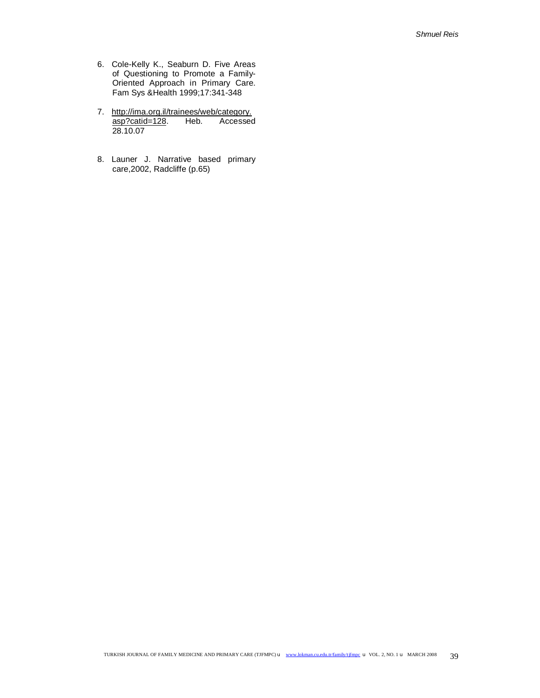- 6. Cole-Kelly K., Seaburn D. Five Areas of Questioning to Promote a Family-Oriented Approach in Primary Care. Fam Sys &Health 1999;17:341-348
- 7. [http://ima.org.il/trainees/web/category.](http://ima.org.il/trainees/web/category) asp?catid=128. Heb. Accessed 28.10.07
- 8. Launer J. Narrative based primary care,2002, Radcliffe (p.65)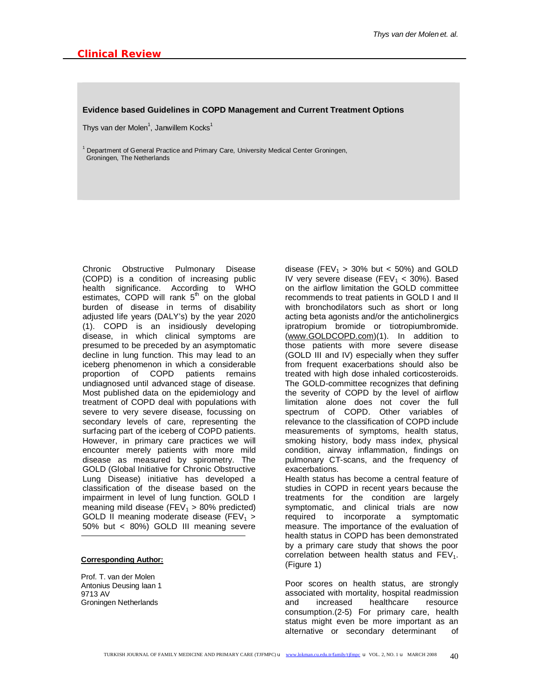#### **Evidence based Guidelines in COPD Management and Current Treatment Options**

Thys van der Molen<sup>1</sup>, Janwillem Kocks<sup>1</sup>

 $1$  Department of General Practice and Primary Care, University Medical Center Groningen, Groningen, The Netherlands

Chronic Obstructive Pulmonary Disease (COPD) is a condition of increasing public health significance. According to WHO estimates, COPD will rank  $5<sup>th</sup>$  on the global burden of disease in terms of disability adjusted life years (DALY's) by the year 2020 (1). COPD is an insidiously developing disease, in which clinical symptoms are presumed to be preceded by an asymptomatic decline in lung function. This may lead to an iceberg phenomenon in which a considerable proportion of COPD patients remains undiagnosed until advanced stage of disease. Most published data on the epidemiology and treatment of COPD deal with populations with severe to very severe disease, focussing on secondary levels of care, representing the surfacing part of the iceberg of COPD patients. However, in primary care practices we will encounter merely patients with more mild disease as measured by spirometry. The GOLD (Global Initiative for Chronic Obstructive Lung Disease) initiative has developed a classification of the disease based on the impairment in level of lung function. GOLD I meaning mild disease (FEV<sub>1</sub> > 80% predicted) GOLD II meaning moderate disease (FEV<sub>1</sub> > 50% but < 80%) GOLD III meaning severe

## **Corresponding Author:**

Prof. T. van der Molen Antonius Deusing laan 1 9713 AV Groningen Netherlands

disease (FEV<sub>1</sub> > 30% but < 50%) and GOLD IV very severe disease (FEV<sub>1</sub> < 30%). Based on the airflow limitation the GOLD committee recommends to treat patients in GOLD I and II with bronchodilators such as short or long acting beta agonists and/or the anticholinergics ipratropium bromide or tiotropiumbromide. ([www.GOLDCOPD.com\)](http://www.GOLDCOPD.com)(1). In addition to those patients with more severe disease (GOLD III and IV) especially when they suffer from frequent exacerbations should also be treated with high dose inhaled corticosteroids. The GOLD-committee recognizes that defining the severity of COPD by the level of airflow limitation alone does not cover the full spectrum of COPD. Other variables of relevance to the classification of COPD include measurements of symptoms, health status, smoking history, body mass index, physical condition, airway inflammation, findings on pulmonary CT-scans, and the frequency of exacerbations.

Health status has become a central feature of studies in COPD in recent years because the treatments for the condition are largely symptomatic, and clinical trials are now required to incorporate a symptomatic measure. The importance of the evaluation of health status in COPD has been demonstrated by a primary care study that shows the poor correlation between health status and  $FEV<sub>1</sub>$ . (Figure 1)

Poor scores on health status, are strongly associated with mortality, hospital readmission and increased healthcare resource consumption.(2-5) For primary care, health status might even be more important as an alternative or secondary determinant of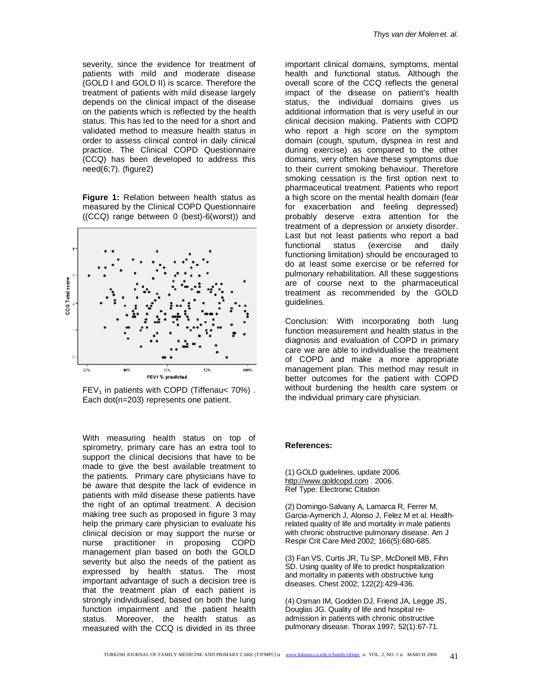*Thys van der Molen et. al.* 

severity, since the evidence for treatment of patients with mild and moderate disease (GOLD I and GOLD II) is scarce. Therefore the treatment of patients with mild disease largely depends on the clinical impact of the disease on the patients which is reflected by the health status. This has led to the need for a short and validated method to measure health status in order to assess clinical control in daily clinical practice. The Clinical COPD Questionnaire (CCQ) has been developed to address this need(6;7). (figure2)

**Figure 1:** Relation between health status as measured by the Clinical COPD Questionnaire ((CCQ) range between 0 (best)-6(worst)) and



 $FEV<sub>1</sub>$  in patients with COPD (Tiffenau < 70%). Each dot(n=203) represents one patient.

With measuring health status on top of spirometry, primary care has an extra tool to support the clinical decisions that have to be made to give the best available treatment to the patients. Primary care physicians have to be aware that despite the lack of evidence in patients with mild disease these patients have the right of an optimal treatment. A decision making tree such as proposed in figure 3 may help the primary care physician to evaluate his clinical decision or may support the nurse or nurse practitioner in proposing COPD management plan based on both the GOLD severity but also the needs of the patient as expressed by health status. The most important advantage of such a decision tree is that the treatment plan of each patient is strongly individualised, based on both the lung function impairment and the patient health status. Moreover, the health status as measured with the CCQ is divided in its three

important clinical domains, symptoms, mental health and functional status. Although the overall score of the CCQ reflects the general impact of the disease on patient's health status, the individual domains gives us additional information that is very useful in our clinical decision making. Patients with COPD who report a high score on the symptom domain (cough, sputum, dyspnea in rest and during exercise) as compared to the other domains, very often have these symptoms due to their current smoking behaviour. Therefore smoking cessation is the first option next to pharmaceutical treatment. Patients who report a high score on the mental health domain (fear for exacerbation and feeling depressed) probably deserve extra attention for the treatment of a depression or anxiety disorder. Last but not least patients who report a bad functional status (exercise and daily functioning limitation) should be encouraged to do at least some exercise or be referred for pulmonary rehabilitation. All these suggestions are of course next to the pharmaceutical treatment as recommended by the GOLD guidelines.

Conclusion: With incorporating both lung function measurement and health status in the diagnosis and evaluation of COPD in primary care we are able to individualise the treatment of COPD and make a more appropriate management plan. This method may result in better outcomes for the patient with COPD without burdening the health care system or the individual primary care physician.

## **References:**

(1) GOLD guidelines, update 2006. <http://www.goldcopd.com> . 2006. Ref Type: Electronic Citation

(2) Domingo-Salvany A, Lamarca R, Ferrer M, Garcia-Aymerich J, Alonso J, Felez M et al. Healthrelated quality of life and mortality in male patients with chronic obstructive pulmonary disease. Am J Respir Crit Care Med 2002; 166(5):680-685.

(3) Fan VS, Curtis JR, Tu SP, McDonell MB, Fihn SD. Using quality of life to predict hospitalization and mortality in patients with obstructive lung diseases. Chest 2002; 122(2):429-436.

(4) Osman IM, Godden DJ, Friend JA, Legge JS, Douglas JG. Quality of life and hospital readmission in patients with chronic obstructive pulmonary disease. Thorax 1997; 52(1):67-71.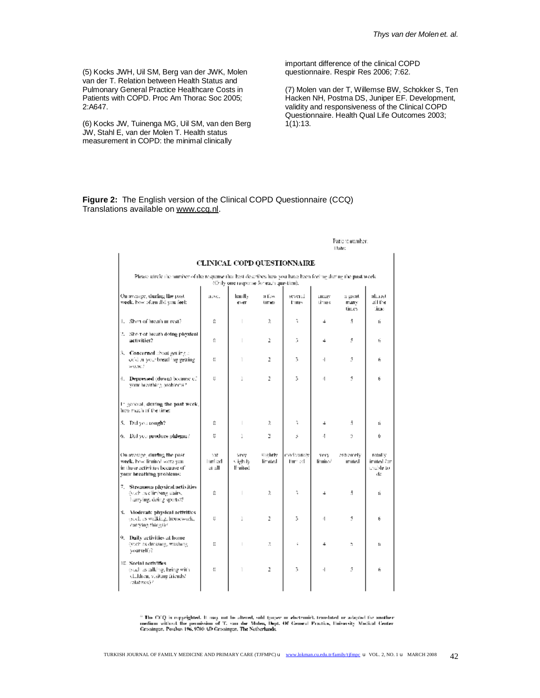(5) Kocks JWH, Uil SM, Berg van der JWK, Molen van der T. Relation between Health Status and Pulmonary General Practice Healthcare Costs in Patients with COPD. Proc Am Thorac Soc 2005; 2:A647.

(6) Kocks JW, Tuinenga MG, Uil SM, van den Berg JW, Stahl E, van der Molen T. Health status measurement in COPD: the minimal clinically

important difference of the clinical COPD questionnaire. Respir Res 2006; 7:62.

(7) Molen van der T, Willemse BW, Schokker S, Ten Hacken NH, Postma DS, Juniper EF. Development, validity and responsiveness of the Clinical COPD Questionnaire. Health Qual Life Outcomes 2003; 1(1):13.

**Figure 2:** The English version of the Clinical COPD Questionnaire (CCQ) Translations available on [www.ccq.nl.](http://www.ccq.nl)

|                                                                                                                           |                          |                                         |                         | Patient number:<br>Llate:   |                  |                            |                                          |  |
|---------------------------------------------------------------------------------------------------------------------------|--------------------------|-----------------------------------------|-------------------------|-----------------------------|------------------|----------------------------|------------------------------------------|--|
|                                                                                                                           |                          |                                         |                         | CLINICAL COPD QUESTIONNAIRE |                  |                            |                                          |  |
| Please circle the number of the response that best describes how you have been feeling during the past week.              |                          | (Chily one response for each question). |                         |                             |                  |                            |                                          |  |
| On average, during the past-<br>week, how often did you feel:                                                             | nove.                    | handl».<br>ever                         | a Esw<br>times.         | several<br>Emes             | LIGHT<br>times   | a great<br>many<br>tin es- | almost<br>all the<br>time.               |  |
| 1. Shop of breath at rest?                                                                                                | û                        |                                         | $\mathfrak{L}$          | t.                          | 4                | 5.                         | ú.                                       |  |
| 2. She rior breath doing physical<br>activities?                                                                          | û                        | Т                                       | 2                       | 3                           | 4                | 5                          | ŕ.                                       |  |
| 3. <b>Conserned</b> about getting a<br>cold in your breathing getting.<br>wu.sc.f                                         | ¢,                       | T                                       | 2                       | 3.                          | $\cdot$          | 3                          | ñ                                        |  |
| 4. Depressed (down) because of<br>your breathing problems?                                                                | đ                        | 1                                       | z                       | 3                           | $\cdot$ 1        | Š.                         | 6                                        |  |
| In general, during the past week,<br>how much of the time:                                                                |                          |                                         |                         |                             |                  |                            |                                          |  |
| 5. Did you cough?                                                                                                         | 0                        | т                                       | $\mathfrak{L}$          | ĩ,                          | 4                | 5.                         | f.                                       |  |
| 6. Did you produce philegan?                                                                                              | ü                        | 1                                       | 3                       | 5                           | 4                | 3                          | Ú.                                       |  |
| On average, during the past.<br>week, how limited were you.<br>in these activities because of<br>vour breathing problems: | 10È<br>limited<br>at all | very.<br>Cightly.<br>li mited.          | al to brite.<br>limited | moderately.<br>litri ed.    | very<br>limitesi | extremely<br>imited        | rotolly<br>imited Apr<br>unable to<br>de |  |
| 7. Strenuous physical activities<br>(such as elimbing stairs,<br>humying, doing sports??                                  | û                        |                                         | $\mathfrak{A}$          | t,                          | 4                | 5                          | ń.                                       |  |
| 8. Vloderate physical activities<br>(such as walking, housework,<br>corrying things)?                                     | ł.                       | 1                                       | 2                       | 3.                          | $\cdot$ 1        | 5                          | 6                                        |  |
| 9. Daily activities at home<br>(such as dressing, washing<br>yourself)?                                                   | Đ.                       |                                         | 2                       | ŝ.                          | 4                | $\ddot{\phantom{a}}$       | f.                                       |  |
| 10. Social activities.<br>(such as talking, being with<br>children, visiting friends?<br>relatives)?                      | ¢,                       | T                                       | 2                       | 3                           | $\cdot$          | 5                          | ñ                                        |  |

 $^{\prime\prime}$  The CCQ is requrigited. It may not be altered, sold (paper or electronic), translated or adapted for another medium without the permission of T. can der Molen, Dept. Of General Practice, University Medical Center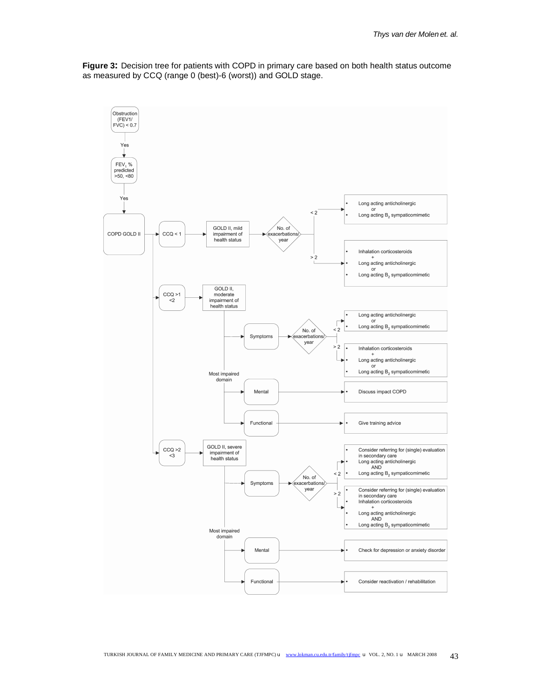**Figure 3:** Decision tree for patients with COPD in primary care based on both health status outcome as measured by CCQ (range 0 (best)-6 (worst)) and GOLD stage.

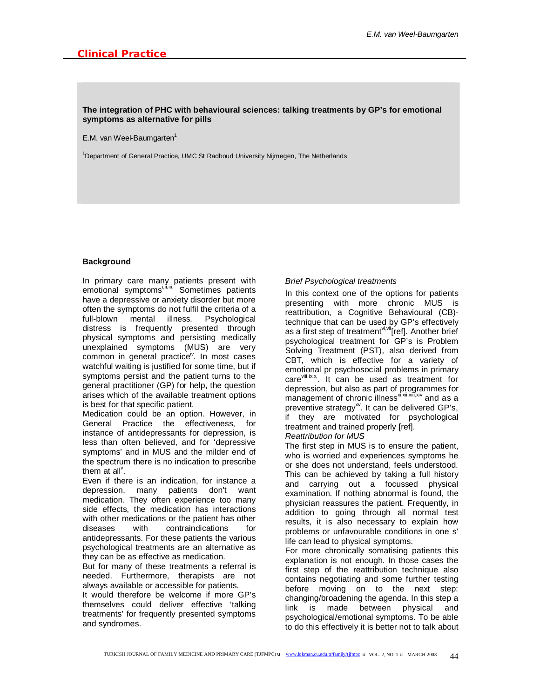# **The integration of PHC with behavioural sciences: talking treatments by GP's for emotional symptoms as alternative for pills**

E.M. van Weel-Baumgarten<sup>1</sup>

<sup>1</sup>Department of General Practice, UMC St Radboud University Nijmegen, The Netherlands

# **Background**

In primary care many patients present with emotional symptoms<sup>i,fi,iii.</sup> Sometimes patients have a depressive or anxiety disorder but more often the symptoms do not fulfil the criteria of a full-blown mental illness. Psychological distress is frequently presented through physical symptoms and persisting medically unexplained symptoms (MUS) are very common in general practice<sup>iv</sup>. In most cases watchful waiting is justified for some time, but if symptoms persist and the patient turns to the general practitioner (GP) for help, the question arises which of the available treatment options is best for that specific patient.

Medication could be an option. However, in General Practice the effectiveness, for instance of antidepressants for depression, is less than often believed, and for 'depressive symptoms' and in MUS and the milder end of the spectrum there is no indication to prescribe them at all<sup> $v$ </sup>.

Even if there is an indication, for instance a depression, many patients don't want medication. They often experience too many side effects, the medication has interactions with other medications or the patient has other diseases with contraindications for antidepressants. For these patients the various psychological treatments are an alternative as they can be as effective as medication.

But for many of these treatments a referral is needed. Furthermore, therapists are not always available or accessible for patients.

It would therefore be welcome if more GP's themselves could deliver effective 'talking treatments' for frequently presented symptoms and syndromes.

# *Brief Psychological treatments*

In this context one of the options for patients presenting with more chronic MUS is reattribution, a Cognitive Behavioural (CB) technique that can be used by GP's effectively as a first step of treatment<sup>vi,vii</sup>[ref]. Another brief psychological treatment for GP's is Problem Solving Treatment (PST), also derived from CBT, which is effective for a variety of emotional pr psychosocial problems in primary care vill, ix, x, It can be used as treatment for depression, but also as part of programmes for management of chronic illness<sup>xi,xii,xii,xiv</sup> and as a preventive strategy<sup>xv</sup>. It can be delivered GP's, if they are motivated for psychological treatment and trained properly [ref].

*Reattribution for MUS*

The first step in MUS is to ensure the patient, who is worried and experiences symptoms he or she does not understand, feels understood. This can be achieved by taking a full history and carrying out a focussed physical examination. If nothing abnormal is found, the physician reassures the patient. Frequently, in addition to going through all normal test results, it is also necessary to explain how problems or unfavourable conditions in one s' life can lead to physical symptoms.

For more chronically somatising patients this explanation is not enough. In those cases the first step of the reattribution technique also contains negotiating and some further testing before moving on to the next step: changing/broadening the agenda. In this step a link is made between physical and psychological/emotional symptoms. To be able to do this effectively it is better not to talk about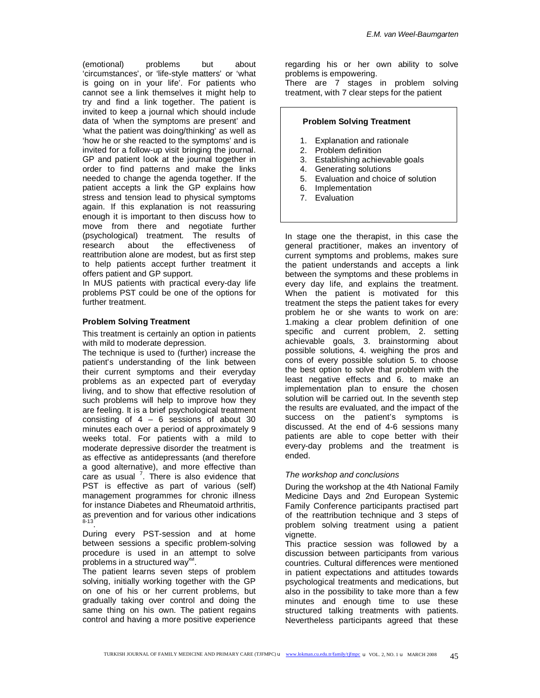(emotional) problems but about 'circumstances', or 'life-style matters' or 'what is going on in your life'. For patients who cannot see a link themselves it might help to try and find a link together. The patient is invited to keep a journal which should include data of 'when the symptoms are present' and 'what the patient was doing/thinking' as well as 'how he or she reacted to the symptoms' and is invited for a follow-up visit bringing the journal. GP and patient look at the journal together in order to find patterns and make the links needed to change the agenda together. If the patient accepts a link the GP explains how stress and tension lead to physical symptoms again. If this explanation is not reassuring enough it is important to then discuss how to move from there and negotiate further (psychological) treatment. The results of research about the effectiveness of reattribution alone are modest, but as first step to help patients accept further treatment it offers patient and GP support.

In MUS patients with practical every-day life problems PST could be one of the options for further treatment.

## **Problem Solving Treatment**

This treatment is certainly an option in patients with mild to moderate depression.

The technique is used to (further) increase the patient's understanding of the link between their current symptoms and their everyday problems as an expected part of everyday living, and to show that effective resolution of such problems will help to improve how they are feeling. It is a brief psychological treatment consisting of  $4 - 6$  sessions of about 30 minutes each over a period of approximately 9 weeks total. For patients with a mild to moderate depressive disorder the treatment is as effective as antidepressants (and therefore a good alternative), and more effective than care as usual  $<sup>7</sup>$ . There is also evidence that</sup> PST is effective as part of various (self) management programmes for chronic illness for instance Diabetes and Rheumatoid arthritis, as prevention and for various other indications 8-13 .

During every PST-session and at home between sessions a specific problem-solving procedure is used in an attempt to solve .<br>problems in a structured way<sup>xvi</sup>.

The patient learns seven steps of problem solving, initially working together with the GP on one of his or her current problems, but gradually taking over control and doing the same thing on his own. The patient regains control and having a more positive experience

regarding his or her own ability to solve problems is empowering.

There are 7 stages in problem solving treatment, with 7 clear steps for the patient

# **Problem Solving Treatment**

- 1. Explanation and rationale
- 2. Problem definition
- 3. Establishing achievable goals
- 4. Generating solutions
- 5. Evaluation and choice of solution
- 6. Implementation
- 7. Evaluation

In stage one the therapist, in this case the general practitioner, makes an inventory of current symptoms and problems, makes sure the patient understands and accepts a link between the symptoms and these problems in every day life, and explains the treatment. When the patient is motivated for this treatment the steps the patient takes for every problem he or she wants to work on are: 1.making a clear problem definition of one specific and current problem, 2. setting achievable goals, 3. brainstorming about possible solutions, 4. weighing the pros and cons of every possible solution 5. to choose the best option to solve that problem with the least negative effects and 6. to make an implementation plan to ensure the chosen solution will be carried out. In the seventh step the results are evaluated, and the impact of the success on the patient's symptoms is discussed. At the end of 4-6 sessions many patients are able to cope better with their every-day problems and the treatment is ended.

## *The workshop and conclusions*

During the workshop at the 4th National Family Medicine Days and 2nd European Systemic Family Conference participants practised part of the reattribution technique and 3 steps of problem solving treatment using a patient vignette.

This practice session was followed by a discussion between participants from various countries. Cultural differences were mentioned in patient expectations and attitudes towards psychological treatments and medications, but also in the possibility to take more than a few minutes and enough time to use these structured talking treatments with patients. Nevertheless participants agreed that these